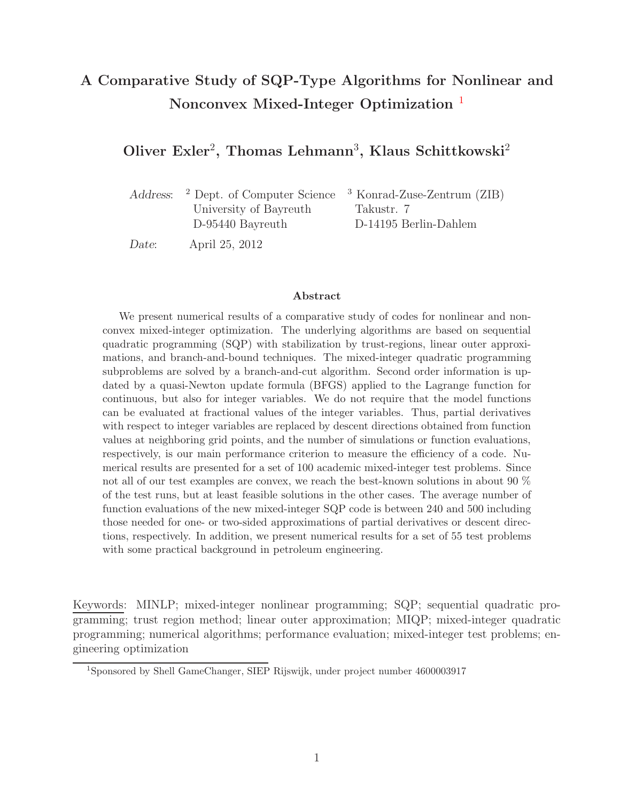# **A Comparative Study of SQP-Type Algorithms for Nonlinear and Nonconvex Mixed-Integer Optimization** [1](#page-0-0)

### **Oliver Exler**<sup>2</sup>**, Thomas Lehmann**<sup>3</sup>**, Klaus Schittkowski**<sup>2</sup>

*Address*: <sup>2</sup> Dept. of Computer Science <sup>3</sup> Konrad-Zuse-Zentrum (ZIB) University of Bayreuth Takustr. 7 D-95440 Bayreuth D-14195 Berlin-Dahlem

*Date*: April 25, 2012

#### **Abstract**

We present numerical results of a comparative study of codes for nonlinear and nonconvex mixed-integer optimization. The underlying algorithms are based on sequential quadratic programming (SQP) with stabilization by trust-regions, linear outer approximations, and branch-and-bound techniques. The mixed-integer quadratic programming subproblems are solved by a branch-and-cut algorithm. Second order information is updated by a quasi-Newton update formula (BFGS) applied to the Lagrange function for continuous, but also for integer variables. We do not require that the model functions can be evaluated at fractional values of the integer variables. Thus, partial derivatives with respect to integer variables are replaced by descent directions obtained from function values at neighboring grid points, and the number of simulations or function evaluations, respectively, is our main performance criterion to measure the efficiency of a code. Numerical results are presented for a set of 100 academic mixed-integer test problems. Since not all of our test examples are convex, we reach the best-known solutions in about 90 % of the test runs, but at least feasible solutions in the other cases. The average number of function evaluations of the new mixed-integer SQP code is between 240 and 500 including those needed for one- or two-sided approximations of partial derivatives or descent directions, respectively. In addition, we present numerical results for a set of 55 test problems with some practical background in petroleum engineering.

Keywords: MINLP; mixed-integer nonlinear programming; SQP; sequential quadratic programming; trust region method; linear outer approximation; MIQP; mixed-integer quadratic programming; numerical algorithms; performance evaluation; mixed-integer test problems; engineering optimization

<span id="page-0-0"></span><sup>1</sup>Sponsored by Shell GameChanger, SIEP Rijswijk, under project number 4600003917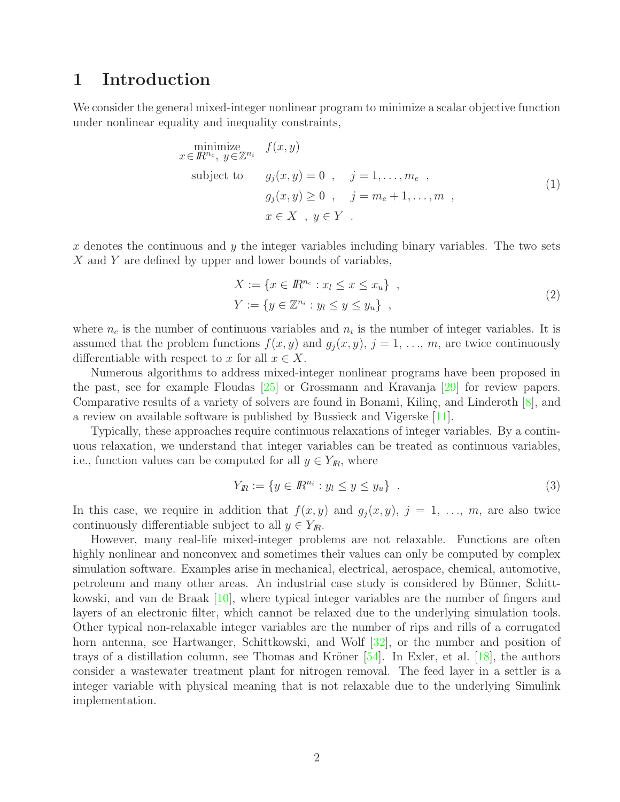## **1 Introduction**

We consider the general mixed-integer nonlinear program to minimize a scalar objective function under nonlinear equality and inequality constraints,

<span id="page-1-0"></span>
$$
\begin{aligned}\n\text{minimize} & f(x, y) \\
x \in \mathbb{R}^{n_c}, \ y \in \mathbb{Z}^{n_i} \quad & f(x, y) \\
\text{subject to} & g_j(x, y) = 0 \quad , \quad j = 1, \dots, m_e \quad , \\
& g_j(x, y) \ge 0 \quad , \quad j = m_e + 1, \dots, m \quad , \\
& x \in X \quad , \ y \in Y \quad .\n\end{aligned} \tag{1}
$$

x denotes the continuous and  $y$  the integer variables including binary variables. The two sets X and Y are defined by upper and lower bounds of variables,

<span id="page-1-1"></span>
$$
X := \{ x \in \mathbb{R}^{n_c} : x_l \le x \le x_u \},
$$
  
\n
$$
Y := \{ y \in \mathbb{Z}^{n_i} : y_l \le y \le y_u \},
$$
\n
$$
(2)
$$

where  $n_c$  is the number of continuous variables and  $n_i$  is the number of integer variables. It is assumed that the problem functions  $f(x, y)$  and  $g_i(x, y)$ ,  $j = 1, \ldots, m$ , are twice continuously differentiable with respect to x for all  $x \in X$ .

Numerous algorithms to address mixed-integer nonlinear programs have been proposed in the past, see for example Floudas [\[25\]](#page-27-0) or Grossmann and Kravanja [\[29\]](#page-27-1) for review papers. Comparative results of a variety of solvers are found in Bonami, Kilinç, and Linderoth  $[8]$ , and a review on available software is published by Bussieck and Vigerske [\[11\]](#page-26-1).

Typically, these approaches require continuous relaxations of integer variables. By a continuous relaxation, we understand that integer variables can be treated as continuous variables, i.e., function values can be computed for all  $y \in Y_{I\!R}$ , where

$$
Y_R := \{ y \in I\!\!R^{n_i} : y_l \le y \le y_u \} . \tag{3}
$$

In this case, we require in addition that  $f(x, y)$  and  $g_j(x, y)$ ,  $j = 1, \ldots, m$ , are also twice continuously differentiable subject to all  $y \in Y_{I\!R}$ .

However, many real-life mixed-integer problems are not relaxable. Functions are often highly nonlinear and nonconvex and sometimes their values can only be computed by complex simulation software. Examples arise in mechanical, electrical, aerospace, chemical, automotive, petroleum and many other areas. An industrial case study is considered by Bünner, Schittkowski, and van de Braak [\[10\]](#page-26-2), where typical integer variables are the number of fingers and layers of an electronic filter, which cannot be relaxed due to the underlying simulation tools. Other typical non-relaxable integer variables are the number of rips and rills of a corrugated horn antenna, see Hartwanger, Schittkowski, and Wolf [\[32\]](#page-28-0), or the number and position of trays of a distillation column, see Thomas and Kröner  $[54]$ . In Exler, et al.  $[18]$ , the authors consider a wastewater treatment plant for nitrogen removal. The feed layer in a settler is a integer variable with physical meaning that is not relaxable due to the underlying Simulink implementation.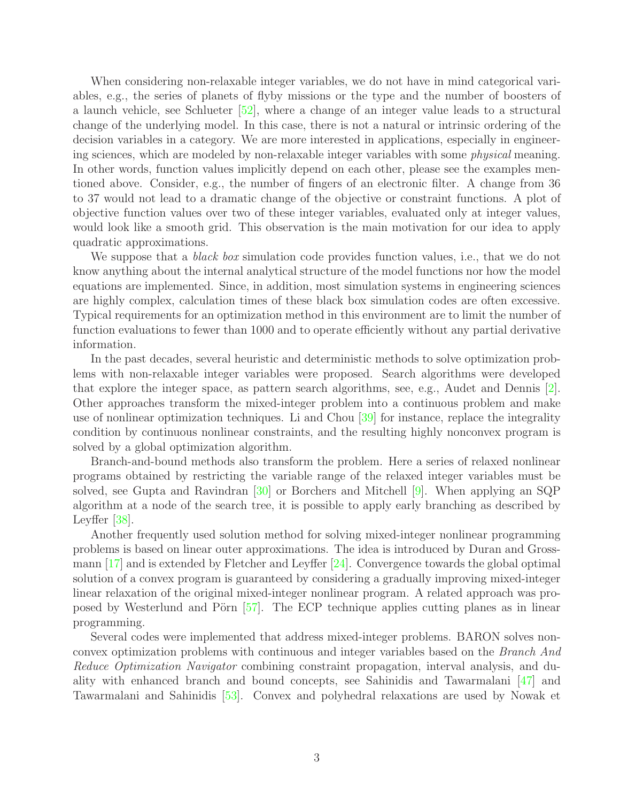When considering non-relaxable integer variables, we do not have in mind categorical variables, e.g., the series of planets of flyby missions or the type and the number of boosters of a launch vehicle, see Schlueter [\[52\]](#page-29-1), where a change of an integer value leads to a structural change of the underlying model. In this case, there is not a natural or intrinsic ordering of the decision variables in a category. We are more interested in applications, especially in engineering sciences, which are modeled by non-relaxable integer variables with some physical meaning. In other words, function values implicitly depend on each other, please see the examples mentioned above. Consider, e.g., the number of fingers of an electronic filter. A change from 36 to 37 would not lead to a dramatic change of the objective or constraint functions. A plot of objective function values over two of these integer variables, evaluated only at integer values, would look like a smooth grid. This observation is the main motivation for our idea to apply quadratic approximations.

We suppose that a *black box* simulation code provides function values, i.e., that we do not know anything about the internal analytical structure of the model functions nor how the model equations are implemented. Since, in addition, most simulation systems in engineering sciences are highly complex, calculation times of these black box simulation codes are often excessive. Typical requirements for an optimization method in this environment are to limit the number of function evaluations to fewer than 1000 and to operate efficiently without any partial derivative information.

In the past decades, several heuristic and deterministic methods to solve optimization problems with non-relaxable integer variables were proposed. Search algorithms were developed that explore the integer space, as pattern search algorithms, see, e.g., Audet and Dennis [\[2\]](#page-25-0). Other approaches transform the mixed-integer problem into a continuous problem and make use of nonlinear optimization techniques. Li and Chou [\[39\]](#page-28-1) for instance, replace the integrality condition by continuous nonlinear constraints, and the resulting highly nonconvex program is solved by a global optimization algorithm.

Branch-and-bound methods also transform the problem. Here a series of relaxed nonlinear programs obtained by restricting the variable range of the relaxed integer variables must be solved, see Gupta and Ravindran [\[30\]](#page-27-3) or Borchers and Mitchell [\[9\]](#page-26-3). When applying an SQP algorithm at a node of the search tree, it is possible to apply early branching as described by Leyffer [\[38\]](#page-28-2).

Another frequently used solution method for solving mixed-integer nonlinear programming problems is based on linear outer approximations. The idea is introduced by Duran and Grossmann  $\left[17\right]$  and is extended by Fletcher and Leyffer  $\left[24\right]$ . Convergence towards the global optimal solution of a convex program is guaranteed by considering a gradually improving mixed-integer linear relaxation of the original mixed-integer nonlinear program. A related approach was pro-posed by Westerlund and Pörn [\[57\]](#page-29-2). The ECP technique applies cutting planes as in linear programming.

Several codes were implemented that address mixed-integer problems. BARON solves nonconvex optimization problems with continuous and integer variables based on the Branch And Reduce Optimization Navigator combining constraint propagation, interval analysis, and duality with enhanced branch and bound concepts, see Sahinidis and Tawarmalani [\[47\]](#page-29-3) and Tawarmalani and Sahinidis [\[53\]](#page-29-4). Convex and polyhedral relaxations are used by Nowak et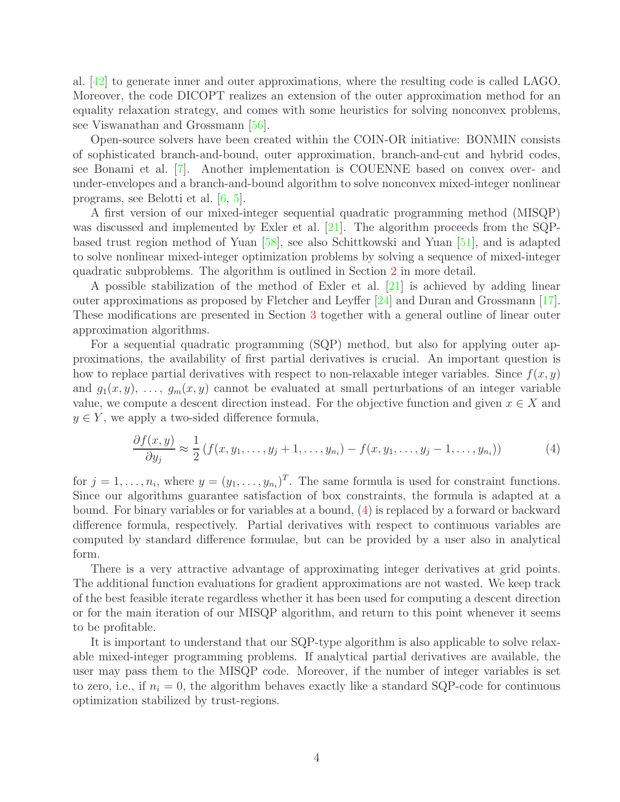al. [\[42\]](#page-28-3) to generate inner and outer approximations, where the resulting code is called LAGO. Moreover, the code DICOPT realizes an extension of the outer approximation method for an equality relaxation strategy, and comes with some heuristics for solving nonconvex problems, see Viswanathan and Grossmann [\[56\]](#page-29-5).

Open-source solvers have been created within the COIN-OR initiative: BONMIN consists of sophisticated branch-and-bound, outer approximation, branch-and-cut and hybrid codes, see Bonami et al. [\[7\]](#page-26-5). Another implementation is COUENNE based on convex over- and under-envelopes and a branch-and-bound algorithm to solve nonconvex mixed-integer nonlinear programs, see Belotti et al. [\[6,](#page-26-6) [5\]](#page-26-7).

A first version of our mixed-integer sequential quadratic programming method (MISQP) was discussed and implemented by Exler et al. [\[21\]](#page-27-5). The algorithm proceeds from the SQPbased trust region method of Yuan [\[58\]](#page-29-6), see also Schittkowski and Yuan [\[51\]](#page-29-7), and is adapted to solve nonlinear mixed-integer optimization problems by solving a sequence of mixed-integer quadratic subproblems. The algorithm is outlined in Section [2](#page-4-0) in more detail.

A possible stabilization of the method of Exler et al. [\[21\]](#page-27-5) is achieved by adding linear outer approximations as proposed by Fletcher and Leyffer [\[24\]](#page-27-4) and Duran and Grossmann [\[17\]](#page-26-4). These modifications are presented in Section [3](#page-11-0) together with a general outline of linear outer approximation algorithms.

For a sequential quadratic programming (SQP) method, but also for applying outer approximations, the availability of first partial derivatives is crucial. An important question is how to replace partial derivatives with respect to non-relaxable integer variables. Since  $f(x, y)$ and  $g_1(x, y), \ldots, g_m(x, y)$  cannot be evaluated at small perturbations of an integer variable value, we compute a descent direction instead. For the objective function and given  $x \in X$  and  $y \in Y$ , we apply a two-sided difference formula,

<span id="page-3-0"></span>
$$
\frac{\partial f(x,y)}{\partial y_j} \approx \frac{1}{2} \left( f(x,y_1,\ldots,y_j+1,\ldots,y_{n_i}) - f(x,y_1,\ldots,y_j-1,\ldots,y_{n_i}) \right) \tag{4}
$$

for  $j = 1, \ldots, n_i$ , where  $y = (y_1, \ldots, y_{n_i})^T$ . The same formula is used for constraint functions. Since our algorithms guarantee satisfaction of box constraints, the formula is adapted at a bound. For binary variables or for variables at a bound, [\(4\)](#page-3-0) is replaced by a forward or backward difference formula, respectively. Partial derivatives with respect to continuous variables are computed by standard difference formulae, but can be provided by a user also in analytical form.

There is a very attractive advantage of approximating integer derivatives at grid points. The additional function evaluations for gradient approximations are not wasted. We keep track of the best feasible iterate regardless whether it has been used for computing a descent direction or for the main iteration of our MISQP algorithm, and return to this point whenever it seems to be profitable.

It is important to understand that our SQP-type algorithm is also applicable to solve relaxable mixed-integer programming problems. If analytical partial derivatives are available, the user may pass them to the MISQP code. Moreover, if the number of integer variables is set to zero, i.e., if  $n_i = 0$ , the algorithm behaves exactly like a standard SQP-code for continuous optimization stabilized by trust-regions.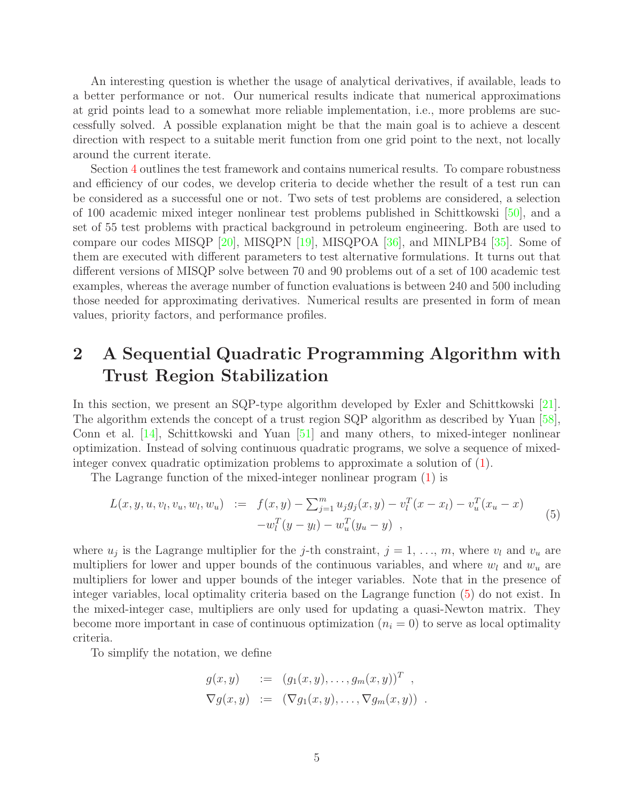An interesting question is whether the usage of analytical derivatives, if available, leads to a better performance or not. Our numerical results indicate that numerical approximations at grid points lead to a somewhat more reliable implementation, i.e., more problems are successfully solved. A possible explanation might be that the main goal is to achieve a descent direction with respect to a suitable merit function from one grid point to the next, not locally around the current iterate.

Section [4](#page-17-0) outlines the test framework and contains numerical results. To compare robustness and efficiency of our codes, we develop criteria to decide whether the result of a test run can be considered as a successful one or not. Two sets of test problems are considered, a selection of 100 academic mixed integer nonlinear test problems published in Schittkowski [\[50\]](#page-29-8), and a set of 55 test problems with practical background in petroleum engineering. Both are used to compare our codes MISQP [\[20\]](#page-27-6), MISQPN [\[19\]](#page-27-7), MISQPOA [\[36\]](#page-28-4), and MINLPB4 [\[35\]](#page-28-5). Some of them are executed with different parameters to test alternative formulations. It turns out that different versions of MISQP solve between 70 and 90 problems out of a set of 100 academic test examples, whereas the average number of function evaluations is between 240 and 500 including those needed for approximating derivatives. Numerical results are presented in form of mean values, priority factors, and performance profiles.

# <span id="page-4-0"></span>**2 A Sequential Quadratic Programming Algorithm with Trust Region Stabilization**

In this section, we present an SQP-type algorithm developed by Exler and Schittkowski [\[21\]](#page-27-5). The algorithm extends the concept of a trust region SQP algorithm as described by Yuan [\[58\]](#page-29-6), Conn et al. [\[14\]](#page-26-8), Schittkowski and Yuan [\[51\]](#page-29-7) and many others, to mixed-integer nonlinear optimization. Instead of solving continuous quadratic programs, we solve a sequence of mixedinteger convex quadratic optimization problems to approximate a solution of [\(1\)](#page-1-0).

The Lagrange function of the mixed-integer nonlinear program [\(1\)](#page-1-0) is

$$
L(x, y, u, v_l, v_u, w_l, w_u) := f(x, y) - \sum_{j=1}^{m} u_j g_j(x, y) - v_l^T (x - x_l) - v_u^T (x_u - x) - w_l^T (y - y_l) - w_u^T (y_u - y) ,
$$
\n
$$
(5)
$$

where  $u_j$  is the Lagrange multiplier for the j-th constraint,  $j = 1, \ldots, m$ , where  $v_l$  and  $v_u$  are multipliers for lower and upper bounds of the continuous variables, and where  $w_l$  and  $w_u$  are multipliers for lower and upper bounds of the integer variables. Note that in the presence of integer variables, local optimality criteria based on the Lagrange function [\(5\)](#page-4-1) do not exist. In the mixed-integer case, multipliers are only used for updating a quasi-Newton matrix. They become more important in case of continuous optimization  $(n_i = 0)$  to serve as local optimality criteria.

To simplify the notation, we define

<span id="page-4-1"></span>
$$
g(x, y) := (g_1(x, y), \dots, g_m(x, y))^T ,
$$
  
\n
$$
\nabla g(x, y) := (\nabla g_1(x, y), \dots, \nabla g_m(x, y)) .
$$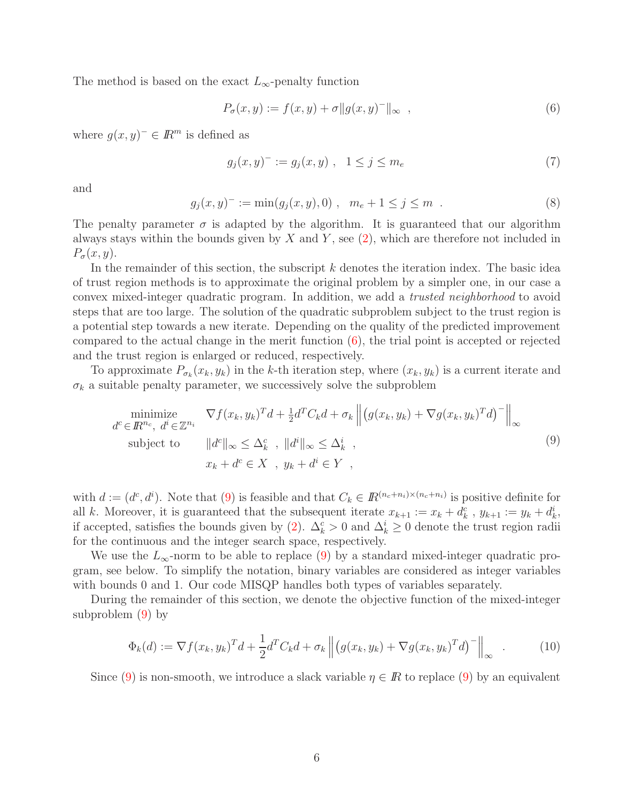The method is based on the exact  $L_{\infty}$ -penalty function

<span id="page-5-0"></span>
$$
P_{\sigma}(x, y) := f(x, y) + \sigma ||g(x, y)^{-}||_{\infty} , \qquad (6)
$$

where  $q(x, y)^- \in \mathbb{R}^m$  is defined as

<span id="page-5-1"></span>
$$
g_j(x, y)^{-} := g_j(x, y) , \quad 1 \le j \le m_e \tag{7}
$$

<span id="page-5-3"></span>and

$$
g_j(x, y)^{-} := \min(g_j(x, y), 0) , \quad m_e + 1 \le j \le m . \tag{8}
$$

The penalty parameter  $\sigma$  is adapted by the algorithm. It is guaranteed that our algorithm always stays within the bounds given by  $X$  and  $Y$ , see  $(2)$ , which are therefore not included in  $P_{\sigma}(x, y)$ .

In the remainder of this section, the subscript  $k$  denotes the iteration index. The basic idea of trust region methods is to approximate the original problem by a simpler one, in our case a convex mixed-integer quadratic program. In addition, we add a trusted neighborhood to avoid steps that are too large. The solution of the quadratic subproblem subject to the trust region is a potential step towards a new iterate. Depending on the quality of the predicted improvement compared to the actual change in the merit function [\(6\)](#page-5-0), the trial point is accepted or rejected and the trust region is enlarged or reduced, respectively.

To approximate  $P_{\sigma_k}(x_k, y_k)$  in the k-th iteration step, where  $(x_k, y_k)$  is a current iterate and  $\sigma_k$  a suitable penalty parameter, we successively solve the subproblem

$$
\begin{aligned}\n\minimize & \quad \nabla f(x_k, y_k)^T d + \frac{1}{2} d^T C_k d + \sigma_k \left\| \left( g(x_k, y_k) + \nabla g(x_k, y_k)^T d \right)^{-} \right\|_{\infty} \\
\text{subject to} & \quad \|d^c\|_{\infty} \leq \Delta_k^c \quad, \ \|d^i\|_{\infty} \leq \Delta_k^i \quad, \\
& x_k + d^c \in X \quad, \ y_k + d^i \in Y \quad,\n\end{aligned} \tag{9}
$$

with  $d := (d^c, d^i)$ . Note that [\(9\)](#page-5-1) is feasible and that  $C_k \in \mathbb{R}^{(n_c+n_i)\times(n_c+n_i)}$  is positive definite for all k. Moreover, it is guaranteed that the subsequent iterate  $x_{k+1} := x_k + d_k^c$ ,  $y_{k+1} := y_k + d_k^i$ , if accepted, satisfies the bounds given by [\(2\)](#page-1-1).  $\Delta_k^c > 0$  and  $\Delta_k^i \geq 0$  denote the trust region radii for the continuous and the integer search space, respectively.

We use the  $L_{\infty}$ -norm to be able to replace [\(9\)](#page-5-1) by a standard mixed-integer quadratic program, see below. To simplify the notation, binary variables are considered as integer variables with bounds 0 and 1. Our code MISQP handles both types of variables separately.

During the remainder of this section, we denote the objective function of the mixed-integer subproblem [\(9\)](#page-5-1) by

<span id="page-5-2"></span>
$$
\Phi_k(d) := \nabla f(x_k, y_k)^T d + \frac{1}{2} d^T C_k d + \sigma_k \left\| \left( g(x_k, y_k) + \nabla g(x_k, y_k)^T d \right)^T \right\|_{\infty} \tag{10}
$$

Since [\(9\)](#page-5-1) is non-smooth, we introduce a slack variable  $\eta \in \mathbb{R}$  to replace (9) by an equivalent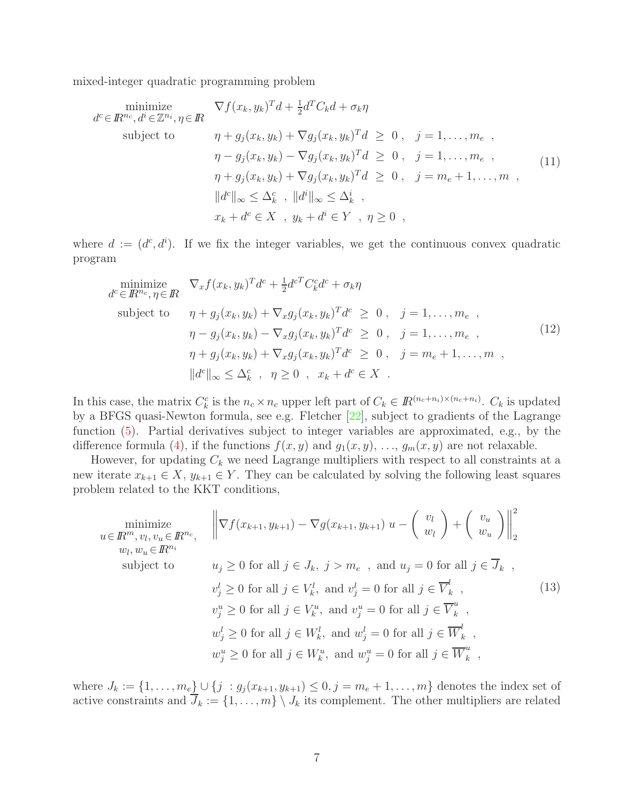mixed-integer quadratic programming problem

<span id="page-6-1"></span>
$$
\begin{aligned}\n\text{minimize} & \nabla f(x_k, y_k)^T d + \frac{1}{2} d^T C_k d + \sigma_k \eta \\
\text{subject to} & \eta + g_j(x_k, y_k) + \nabla g_j(x_k, y_k)^T d \ge 0, \quad j = 1, \dots, m_e, \\
& \eta - g_j(x_k, y_k) - \nabla g_j(x_k, y_k)^T d \ge 0, \quad j = 1, \dots, m_e, \\
& \eta + g_j(x_k, y_k) + \nabla g_j(x_k, y_k)^T d \ge 0, \quad j = m_e + 1, \dots, m, \\
& \|d^c\|_{\infty} \le \Delta_k^c, \quad \|d^i\|_{\infty} \le \Delta_k^i, \\
& x_k + d^c \in X, \quad y_k + d^i \in Y, \quad \eta \ge 0,\n\end{aligned}\n\tag{11}
$$

where  $d := (d^c, d^i)$ . If we fix the integer variables, we get the continuous convex quadratic program

<span id="page-6-2"></span>
$$
\begin{aligned}\n\text{minimize} & \nabla_x f(x_k, y_k)^T d^c + \frac{1}{2} d^{c} C_k^c d^c + \sigma_k \eta \\
\text{subject to} & \eta + g_j(x_k, y_k) + \nabla_x g_j(x_k, y_k)^T d^c \ge 0, \quad j = 1, \dots, m_e, \\
& \eta - g_j(x_k, y_k) - \nabla_x g_j(x_k, y_k)^T d^c \ge 0, \quad j = 1, \dots, m_e, \\
& \eta + g_j(x_k, y_k) + \nabla_x g_j(x_k, y_k)^T d^c \ge 0, \quad j = m_e + 1, \dots, m, \\
& \|d^c\|_{\infty} \le \Delta_k^c, \quad \eta \ge 0, \quad x_k + d^c \in X.\n\end{aligned}\n\tag{12}
$$

In this case, the matrix  $C_k^c$  is the  $n_c \times n_c$  upper left part of  $C_k \in \mathbb{R}^{(n_c+n_i)\times (n_c+n_i)}$ .  $C_k$  is updated by a BFGS quasi-Newton formula, see e.g. Fletcher [\[22\]](#page-27-8), subject to gradients of the Lagrange function [\(5\)](#page-4-1). Partial derivatives subject to integer variables are approximated, e.g., by the difference formula [\(4\)](#page-3-0), if the functions  $f(x, y)$  and  $g_1(x, y)$ , ...,  $g_m(x, y)$  are not relaxable.

However, for updating  $C_k$  we need Lagrange multipliers with respect to all constraints at a new iterate  $x_{k+1} \in X$ ,  $y_{k+1} \in Y$ . They can be calculated by solving the following least squares problem related to the KKT conditions,

<span id="page-6-0"></span>
$$
\begin{aligned}\n\text{minimize} & \quad \left\| \nabla f(x_{k+1}, y_{k+1}) - \nabla g(x_{k+1}, y_{k+1}) \ u - \left( \begin{array}{c} v_l \\ w_l \end{array} \right) + \left( \begin{array}{c} v_u \\ w_u \end{array} \right) \right\|_2^2 \\
& w_l, w_u \in \mathbb{R}^{n_i} \\
\text{subject to} & u_j \ge 0 \text{ for all } j \in J_k, \ j > m_e \ , \text{ and } u_j = 0 \text{ for all } j \in \overline{J}_k \ , \\
& v_j^l \ge 0 \text{ for all } j \in V_k^l, \text{ and } v_j^l = 0 \text{ for all } j \in \overline{V}_k^l \ , \\
& v_j^u \ge 0 \text{ for all } j \in V_k^u, \text{ and } v_j^u = 0 \text{ for all } j \in \overline{V}_k^u \ , \\
& w_j^l \ge 0 \text{ for all } j \in W_k^l, \text{ and } w_j^l = 0 \text{ for all } j \in \overline{W}_k^l \ , \\
& w_j^u \ge 0 \text{ for all } j \in W_k^u, \text{ and } w_j^u = 0 \text{ for all } j \in \overline{W}_k^u \ ,\n\end{aligned} \tag{13}
$$

where  $J_k := \{1, \ldots, m_e\} \cup \{j : g_j(x_{k+1}, y_{k+1}) \leq 0, j = m_e + 1, \ldots, m\}$  denotes the index set of active constraints and  $\overline{J}_k := \{1, \ldots, m\} \setminus J_k$  its complement. The other multipliers are related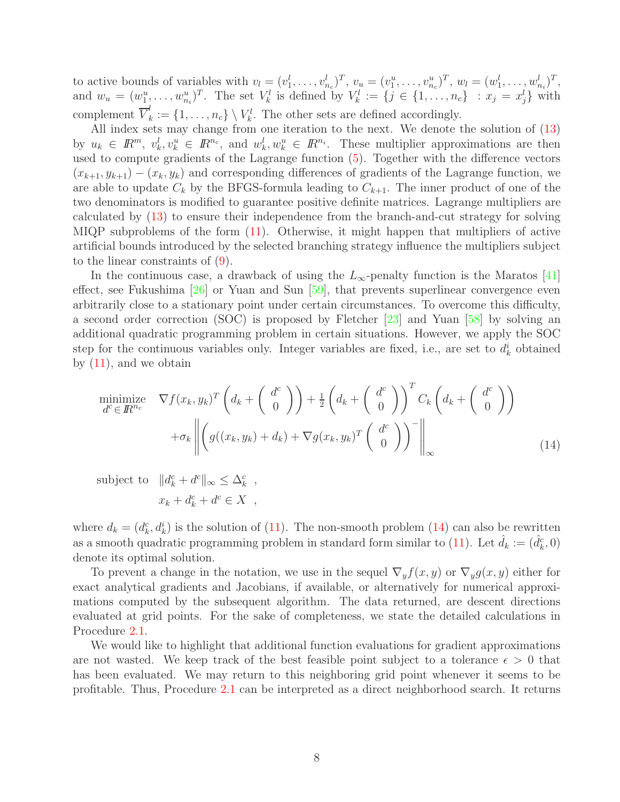to active bounds of variables with  $v_l = (v_1^l, \ldots, v_{n_c}^l)^T$ ,  $v_u = (v_1^u, \ldots, v_{n_c}^u)^T$ ,  $w_l = (w_1^l, \ldots, w_{n_i}^l)^T$ , and  $w_u = (w_1^u, \ldots, w_{n_i}^u)^T$ . The set  $V_k^l$  is defined by  $V_k^l := \{j \in \{1, \ldots, n_c\} : x_j = x_j^l\}$  with complement  $\overline{V}_k^l := \{1, \ldots, n_c\} \setminus V_k^l$ . The other sets are defined accordingly.

All index sets may change from one iteration to the next. We denote the solution of [\(13\)](#page-6-0) by  $u_k \in \mathbb{R}^m$ ,  $v_k^l, v_k^u \in \mathbb{R}^{n_c}$ , and  $w_k^l, w_k^u \in \mathbb{R}^{n_i}$ . These multiplier approximations are then used to compute gradients of the Lagrange function [\(5\)](#page-4-1). Together with the difference vectors  $(x_{k+1}, y_{k+1}) - (x_k, y_k)$  and corresponding differences of gradients of the Lagrange function, we are able to update  $C_k$  by the BFGS-formula leading to  $C_{k+1}$ . The inner product of one of the two denominators is modified to guarantee positive definite matrices. Lagrange multipliers are calculated by [\(13\)](#page-6-0) to ensure their independence from the branch-and-cut strategy for solving MIQP subproblems of the form [\(11\)](#page-6-1). Otherwise, it might happen that multipliers of active artificial bounds introduced by the selected branching strategy influence the multipliers subject to the linear constraints of [\(9\)](#page-5-1).

In the continuous case, a drawback of using the  $L_{\infty}$ -penalty function is the Maratos [\[41\]](#page-28-6) effect, see Fukushima [\[26\]](#page-27-9) or Yuan and Sun [\[59\]](#page-29-9), that prevents superlinear convergence even arbitrarily close to a stationary point under certain circumstances. To overcome this difficulty, a second order correction (SOC) is proposed by Fletcher [\[23\]](#page-27-10) and Yuan [\[58\]](#page-29-6) by solving an additional quadratic programming problem in certain situations. However, we apply the SOC step for the continuous variables only. Integer variables are fixed, i.e., are set to  $d_k^i$  obtained by [\(11\)](#page-6-1), and we obtain

<span id="page-7-0"></span>
$$
\begin{aligned}\n\min_{d^c \in \mathbb{R}^{n_c}} \nabla f(x_k, y_k)^T \left( d_k + \begin{pmatrix} d^c \\ 0 \end{pmatrix} \right) + \frac{1}{2} \left( d_k + \begin{pmatrix} d^c \\ 0 \end{pmatrix} \right)^T C_k \left( d_k + \begin{pmatrix} d^c \\ 0 \end{pmatrix} \right) \\
+ \sigma_k \left\| \left( g((x_k, y_k) + d_k) + \nabla g(x_k, y_k)^T \begin{pmatrix} d^c \\ 0 \end{pmatrix} \right)^- \right\|_{\infty} \n\end{aligned} \tag{14}
$$

subject to  $||d_k^c + d^c||_{\infty} \leq \Delta_k^c$ ,  $x_k + d_k^c + d^c \in X$ ,

where  $d_k = (d_k^c, d_k^i)$  is the solution of [\(11\)](#page-6-1). The non-smooth problem [\(14\)](#page-7-0) can also be rewritten as a smooth quadratic programming problem in standard form similar to [\(11\)](#page-6-1). Let  $\hat{d}_k := (\hat{d}_k^c, 0)$ denote its optimal solution.

To prevent a change in the notation, we use in the sequel  $\nabla_y f(x, y)$  or  $\nabla_y g(x, y)$  either for exact analytical gradients and Jacobians, if available, or alternatively for numerical approximations computed by the subsequent algorithm. The data returned, are descent directions evaluated at grid points. For the sake of completeness, we state the detailed calculations in Procedure [2.1.](#page-8-0)

We would like to highlight that additional function evaluations for gradient approximations are not wasted. We keep track of the best feasible point subject to a tolerance  $\epsilon > 0$  that has been evaluated. We may return to this neighboring grid point whenever it seems to be profitable. Thus, Procedure [2.1](#page-8-0) can be interpreted as a direct neighborhood search. It returns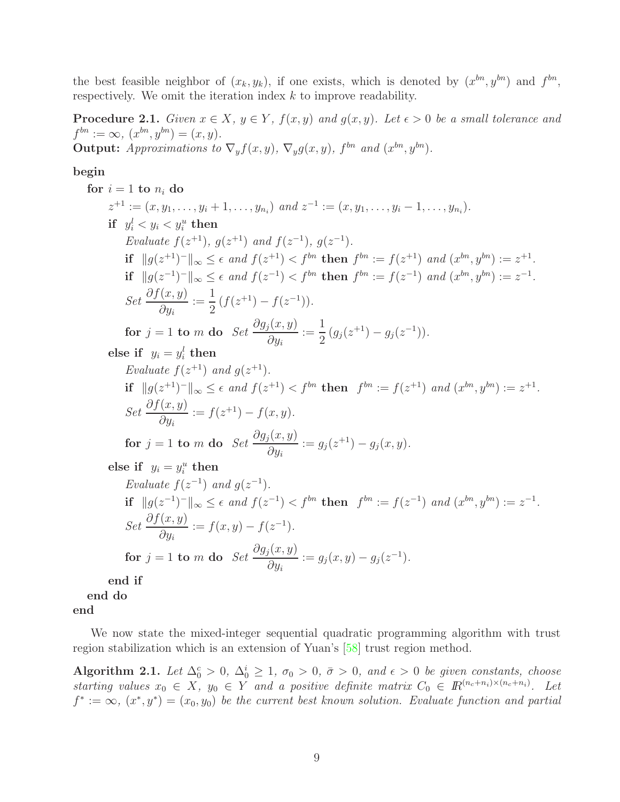<span id="page-8-0"></span>the best feasible neighbor of  $(x_k, y_k)$ , if one exists, which is denoted by  $(x^{bn}, y^{bn})$  and  $f^{bn}$ , respectively. We omit the iteration index  $k$  to improve readability.

**Procedure 2.1.** Given  $x \in X$ ,  $y \in Y$ ,  $f(x, y)$  and  $g(x, y)$ . Let  $\epsilon > 0$  be a small tolerance and  $f^{bn} := \infty$ ,  $(x^{bn}, y^{bn}) = (x, y)$ . **Output:** Approximations to  $\nabla_y f(x, y)$ ,  $\nabla_y g(x, y)$ ,  $f^{bn}$  and  $(x^{bn}, y^{bn})$ .

#### **begin**

for 
$$
i = 1
$$
 to  $n_i$  do  
\n $z^{+1} := (x, y_1, ..., y_i + 1, ..., y_n)$  and  $z^{-1} := (x, y_1, ..., y_i - 1, ..., y_n)$ .  
\nif  $y_i^l < y_i < y_i^u$  then  
\nEvaluate  $f(z^{+1}), g(z^{+1})$  and  $f(z^{-1}), g(z^{-1})$ .  
\nif  $||g(z^{+1})^-||_{\infty} \le \epsilon$  and  $f(z^{+1}) < f^{bn}$  then  $f^{bn} := f(z^{+1})$  and  $(x^{bn}, y^{bn}) := z^{+1}$ .  
\nif  $||g(z^{-1})^-||_{\infty} \le \epsilon$  and  $f(z^{-1}) < f^{bn}$  then  $f^{bn} := f(z^{-1})$  and  $(x^{bn}, y^{bn}) := z^{-1}$ .  
\nSet  $\frac{\partial f(x, y)}{\partial y_i} := \frac{1}{2} (f(z^{+1}) - f(z^{-1}))$ .  
\nfor  $j = 1$  to  $m$  do  $Set \frac{\partial g_j(x, y)}{\partial y_i} := \frac{1}{2} (g_j(z^{+1}) - g_j(z^{-1}))$ .  
\nelse if  $y_i = y_i^l$  then  
\nEvaluate  $f(z^{+1})$  and  $g(z^{+1})$ .  
\nif  $||g(z^{+1})^-||_{\infty} \le \epsilon$  and  $f(z^{+1}) < f^{bn}$  then  $f^{bn} := f(z^{+1})$  and  $(x^{bn}, y^{bn}) := z^{+1}$ .  
\nSet  $\frac{\partial f(x, y)}{\partial y_i} := f(z^{+1}) - f(x, y)$ .  
\nfor  $j = 1$  to  $m$  do  $Set \frac{\partial g_j(x, y)}{\partial y_i} := g_j(z^{+1}) - g_j(x, y)$ .  
\nelse if  $y_i = y_i^u$  then  
\nEvaluate  $f(z^{-1})$  and  $g(z^{-1})$ .  
\nif  $||g(z^{-1})^-||_{\infty} \le \epsilon$  and  $f(z^{-1}) < f^{bn}$  then  $f^{bn} := f(z^{-1})$  and  $(x^{bn}, y^{bn}) := z^{-1}$ .  
\nSet 

**end if**

**end do**

**end**

<span id="page-8-1"></span>We now state the mixed-integer sequential quadratic programming algorithm with trust region stabilization which is an extension of Yuan's [\[58\]](#page-29-6) trust region method.

**Algorithm 2.1.** Let  $\Delta_0^c > 0$ ,  $\Delta_0^i \ge 1$ ,  $\sigma_0 > 0$ ,  $\bar{\sigma} > 0$ , and  $\epsilon > 0$  be given constants, choose starting values  $x_0 \in X$ ,  $y_0 \in Y$  and a positive definite matrix  $C_0 \in \mathbb{R}^{(n_c+n_i)\times(n_c+n_i)}$ . Let  $f^* := \infty$ ,  $(x^*, y^*) = (x_0, y_0)$  be the current best known solution. Evaluate function and partial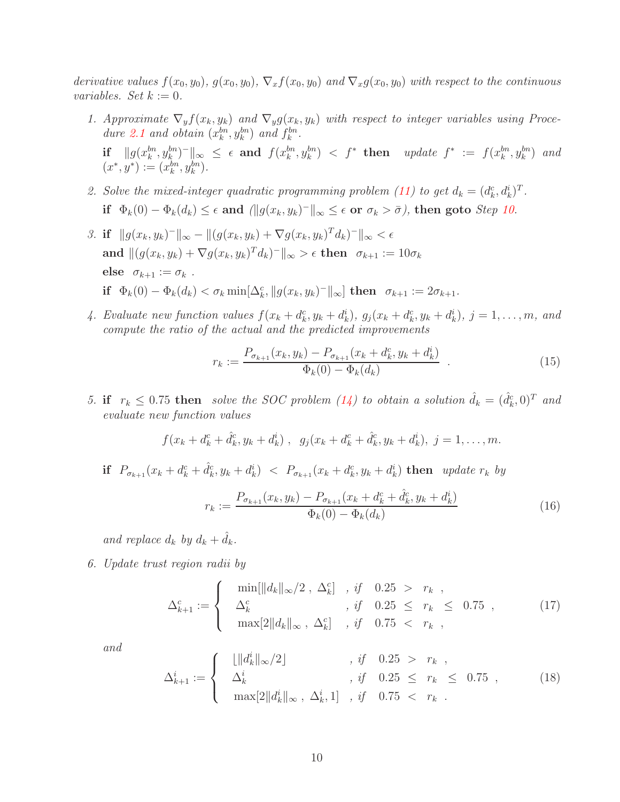<span id="page-9-1"></span>derivative values  $f(x_0, y_0)$ ,  $g(x_0, y_0)$ ,  $\nabla_x f(x_0, y_0)$  and  $\nabla_x g(x_0, y_0)$  with respect to the continuous variables. Set  $k := 0$ .

- 1. Approximate  $\nabla_y f(x_k, y_k)$  and  $\nabla_y g(x_k, y_k)$  with respect to integer variables using Proce-dure [2.1](#page-8-0) and obtain  $(x_k^{bn}, y_k^{bn})$  and  $f_k^{bn}$ .  $\textbf{if} \quad ||g(x_k^{bn}, y_k^{bn})^-||_{\infty} \leq \epsilon \textbf{ and } f(x_k^{bn}, y_k^{bn}) < f^* \textbf{ then} \quad update \ f^* := f(x_k^{bn}, y_k^{bn}) \textbf{ and}$  $(x^*, y^*) := (x_k^{bn}, y_k^{bn}).$
- <span id="page-9-0"></span>2. Solve the mixed-integer quadratic programming problem [\(11\)](#page-6-1) to get  $d_k = (d_k^c, d_k^i)^T$ . **if**  $\Phi_k(0) - \Phi_k(d_k) \leq \epsilon$  and  $(\|g(x_k, y_k)^-\|_{\infty} \leq \epsilon$  or  $\sigma_k > \bar{\sigma}$ ), then goto *Step 10*.
- <span id="page-9-7"></span>3. **if**  $||q(x_k, y_k)^-||_{\infty} - ||(q(x_k, y_k) + \nabla q(x_k, y_k)^T d_k)^-||_{\infty} < \epsilon$ **and**  $||(g(x_k, y_k) + \nabla g(x_k, y_k)^T d_k)^{-}||_{\infty} > \epsilon$  **then**  $\sigma_{k+1} := 10\sigma_k$ **else**  $\sigma_{k+1} := \sigma_k$ . **if**  $\Phi_k(0) - \Phi_k(d_k) < \sigma_k \min[\Delta_k^c, \|g(x_k, y_k)^-\|_{\infty}]$  **then**  $\sigma_{k+1} := 2\sigma_{k+1}$ .
- <span id="page-9-5"></span>4. Evaluate new function values  $f(x_k + d_k^c, y_k + d_k^i)$ ,  $g_j(x_k + d_k^c, y_k + d_k^i)$ ,  $j = 1, \ldots, m$ , and compute the ratio of the actual and the predicted improvements

<span id="page-9-8"></span>
$$
r_k := \frac{P_{\sigma_{k+1}}(x_k, y_k) - P_{\sigma_{k+1}}(x_k + d_k^c, y_k + d_k^i)}{\Phi_k(0) - \Phi_k(d_k)} \tag{15}
$$

<span id="page-9-6"></span>5. **if**  $r_k \leq 0.75$  then solve the SOC problem [\(14\)](#page-7-0) to obtain a solution  $\hat{d}_k = (\hat{d}_k^c, 0)^T$  and evaluate new function values

$$
f(x_k + d_k^c + \hat{d}_k^c, y_k + d_k^i), \quad g_j(x_k + d_k^c + \hat{d}_k^c, y_k + d_k^i), \ j = 1, ..., m.
$$

**if**  $P_{\sigma_{k+1}}(x_k + d_k^c + \hat{d}_k^c, y_k + d_k^i) < P_{\sigma_{k+1}}(x_k + d_k^c, y_k + d_k^i)$  then update  $r_k$  by

<span id="page-9-3"></span>
$$
r_k := \frac{P_{\sigma_{k+1}}(x_k, y_k) - P_{\sigma_{k+1}}(x_k + d_k^c + \hat{d}_k^c, y_k + d_k^i)}{\Phi_k(0) - \Phi_k(d_k)}
$$
(16)

and replace  $d_k$  by  $d_k + \hat{d}_k$ .

<span id="page-9-2"></span>6. Update trust region radii by

$$
\Delta_{k+1}^c := \begin{cases}\n\min[\|d_k\|_{\infty}/2 \,, \Delta_k^c] \,, \text{ if } 0.25 > r_k , \\
\Delta_k^c \,, \text{ if } 0.25 \leq r_k \leq 0.75 , \\
\max[2\|d_k\|_{\infty}, \Delta_k^c] \,, \text{ if } 0.75 < r_k ,\n\end{cases} \tag{17}
$$

<span id="page-9-4"></span>and

$$
\Delta_{k+1}^{i} := \begin{cases}\n\lfloor \|d_k^{i}\|_{\infty}/2 \rfloor, & \text{if } 0.25 > r_k, \\
\Delta_k^{i}, & \text{if } 0.25 \le r_k \le 0.75, \\
\max[2\|d_k^{i}\|_{\infty}, \Delta_k^{i}, 1], & \text{if } 0.75 < r_k.\n\end{cases} \tag{18}
$$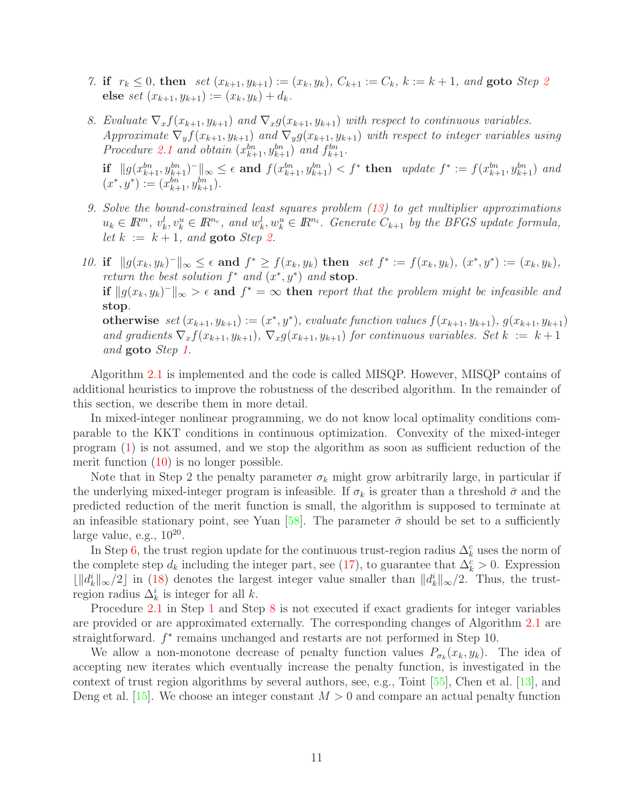- 7. **if**  $r_k \leq 0$ , **then** set  $(x_{k+1}, y_{k+1}) := (x_k, y_k)$ ,  $C_{k+1} := C_k$ ,  $k := k+1$ , and **goto** Step [2](#page-9-0) **else** set  $(x_{k+1}, y_{k+1}) := (x_k, y_k) + d_k$ .
- <span id="page-10-1"></span>8. Evaluate  $\nabla_x f(x_{k+1}, y_{k+1})$  and  $\nabla_x g(x_{k+1}, y_{k+1})$  with respect to continuous variables. Approximate  $\nabla_y f(x_{k+1}, y_{k+1})$  and  $\nabla_y g(x_{k+1}, y_{k+1})$  with respect to integer variables using Procedure [2.1](#page-8-0) and obtain  $(x_{k+1}^{bn}, y_{k+1}^{bn})$  and  $f_{k+1}^{bn}$ . **if**  $||g(x_{k+1}^{bn}, y_{k+1}^{bn})^-||_{\infty} \le \epsilon$  and  $f(x_{k+1}^{bn}, y_{k+1}^{bn}) < f^*$  then update  $f^* := f(x_{k+1}^{bn}, y_{k+1}^{bn})$  and  $(x^*, y^*) := (x_{k+1}^{bn}, y_{k+1}^{bn}).$
- 9. Solve the bound-constrained least squares problem [\(13\)](#page-6-0) to get multiplier approximations  $u_k \in \mathbb{R}^m$ ,  $v_k^l, v_k^u \in \mathbb{R}^{n_c}$ , and  $w_k^l, w_k^u \in \mathbb{R}^{n_i}$ . Generate  $C_{k+1}$  by the BFGS update formula, let  $k := k + 1$ , and **goto** Step [2.](#page-9-0)
- <span id="page-10-0"></span>10. **if**  $||g(x_k, y_k)^-||_{\infty}$  ≤  $\epsilon$  and  $f^*$  ≥  $f(x_k, y_k)$  **then** set  $f^* := f(x_k, y_k)$ ,  $(x^*, y^*) := (x_k, y_k)$ , return the best solution  $f^*$  and  $(x^*, y^*)$  and **stop**. **if**  $||g(x_k, y_k)||_{\infty} > \epsilon$  and  $f^* = \infty$  then report that the problem might be infeasible and **stop**. **otherwise**  $set(x_{k+1}, y_{k+1}) := (x^*, y^*)$ , evaluate function values  $f(x_{k+1}, y_{k+1})$ ,  $g(x_{k+1}, y_{k+1})$ and gradients  $\nabla_x f(x_{k+1}, y_{k+1}), \nabla_x g(x_{k+1}, y_{k+1})$  for continuous variables. Set  $k := k+1$ and **goto** Step [1.](#page-9-1)

Algorithm [2.1](#page-8-1) is implemented and the code is called MISQP. However, MISQP contains of additional heuristics to improve the robustness of the described algorithm. In the remainder of this section, we describe them in more detail.

In mixed-integer nonlinear programming, we do not know local optimality conditions comparable to the KKT conditions in continuous optimization. Convexity of the mixed-integer program [\(1\)](#page-1-0) is not assumed, and we stop the algorithm as soon as sufficient reduction of the merit function  $(10)$  is no longer possible.

Note that in Step 2 the penalty parameter  $\sigma_k$  might grow arbitrarily large, in particular if the underlying mixed-integer program is infeasible. If  $\sigma_k$  is greater than a threshold  $\bar{\sigma}$  and the predicted reduction of the merit function is small, the algorithm is supposed to terminate at an infeasible stationary point, see Yuan [\[58\]](#page-29-6). The parameter  $\bar{\sigma}$  should be set to a sufficiently large value, e.g.,  $10^{20}$ .

In Step [6,](#page-9-2) the trust region update for the continuous trust-region radius  $\Delta_k^c$  uses the norm of the complete step  $d_k$  including the integer part, see [\(17\)](#page-9-3), to guarantee that  $\Delta_k^c > 0$ . Expression  $\lfloor ||d_k^i||_{\infty}/2 \rfloor$  in [\(18\)](#page-9-4) denotes the largest integer value smaller than  $||d_k^i||_{\infty}/2$ . Thus, the trustregion radius  $\Delta_k^i$  is integer for all k.

Procedure [2.1](#page-8-0) in Step [1](#page-9-1) and Step [8](#page-10-1) is not executed if exact gradients for integer variables are provided or are approximated externally. The corresponding changes of Algorithm [2.1](#page-8-1) are straightforward.  $f^*$  remains unchanged and restarts are not performed in Step 10.

We allow a non-monotone decrease of penalty function values  $P_{\sigma_k}(x_k, y_k)$ . The idea of accepting new iterates which eventually increase the penalty function, is investigated in the context of trust region algorithms by several authors, see, e.g., Toint [\[55\]](#page-29-10), Chen et al. [\[13\]](#page-26-9), and Deng et al. [\[15\]](#page-26-10). We choose an integer constant  $M > 0$  and compare an actual penalty function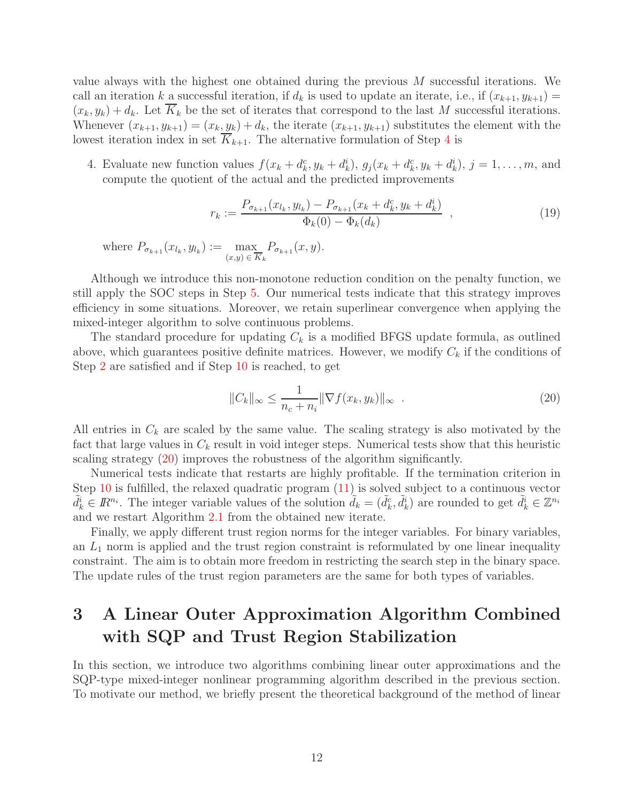value always with the highest one obtained during the previous M successful iterations. We call an iteration k a successful iteration, if  $d_k$  is used to update an iterate, i.e., if  $(x_{k+1}, y_{k+1}) =$  $(x_k, y_k) + d_k$ . Let  $\overline{K}_k$  be the set of iterates that correspond to the last M successful iterations. Whenever  $(x_{k+1}, y_{k+1}) = (x_k, y_k) + d_k$ , the iterate  $(x_{k+1}, y_{k+1})$  substitutes the element with the lowest iteration index in set  $\overline{K}_{k+1}$ . The alternative formulation of Step [4](#page-9-5) is

4. Evaluate new function values  $f(x_k + d_k^c, y_k + d_k^i), g_j(x_k + d_k^c, y_k + d_k^i), j = 1, \ldots, m$ , and compute the quotient of the actual and the predicted improvements

$$
r_k := \frac{P_{\sigma_{k+1}}(x_{l_k}, y_{l_k}) - P_{\sigma_{k+1}}(x_k + d_k^c, y_k + d_k^i)}{\Phi_k(0) - \Phi_k(d_k)},
$$
\n(19)

where  $P_{\sigma_{k+1}}(x_{l_k}, y_{l_k}) := \max_{k}$  $(x,y) \in \overline{K}_k$  $P_{\sigma_{k+1}}(x,y).$ 

Although we introduce this non-monotone reduction condition on the penalty function, we still apply the SOC steps in Step [5.](#page-9-6) Our numerical tests indicate that this strategy improves efficiency in some situations. Moreover, we retain superlinear convergence when applying the mixed-integer algorithm to solve continuous problems.

The standard procedure for updating  $C_k$  is a modified BFGS update formula, as outlined above, which guarantees positive definite matrices. However, we modify  $C_k$  if the conditions of Step [2](#page-9-0) are satisfied and if Step [10](#page-10-0) is reached, to get

<span id="page-11-1"></span>
$$
||C_k||_{\infty} \le \frac{1}{n_c + n_i} ||\nabla f(x_k, y_k)||_{\infty} .
$$
\n(20)

All entries in  $C_k$  are scaled by the same value. The scaling strategy is also motivated by the fact that large values in  $C_k$  result in void integer steps. Numerical tests show that this heuristic scaling strategy [\(20\)](#page-11-1) improves the robustness of the algorithm significantly.

Numerical tests indicate that restarts are highly profitable. If the termination criterion in Step [10](#page-10-0) is fulfilled, the relaxed quadratic program  $(11)$  is solved subject to a continuous vector  $\tilde{d}_k^i \in \mathbb{R}^{n_i}$ . The integer variable values of the solution  $\tilde{d}_k = (\tilde{d}_k^c, \tilde{d}_k^i)$  are rounded to get  $\tilde{d}_k^i \in \mathbb{Z}^{n_i}$ and we restart Algorithm [2.1](#page-8-1) from the obtained new iterate.

Finally, we apply different trust region norms for the integer variables. For binary variables, an  $L_1$  norm is applied and the trust region constraint is reformulated by one linear inequality constraint. The aim is to obtain more freedom in restricting the search step in the binary space. The update rules of the trust region parameters are the same for both types of variables.

# <span id="page-11-0"></span>**3 A Linear Outer Approximation Algorithm Combined with SQP and Trust Region Stabilization**

In this section, we introduce two algorithms combining linear outer approximations and the SQP-type mixed-integer nonlinear programming algorithm described in the previous section. To motivate our method, we briefly present the theoretical background of the method of linear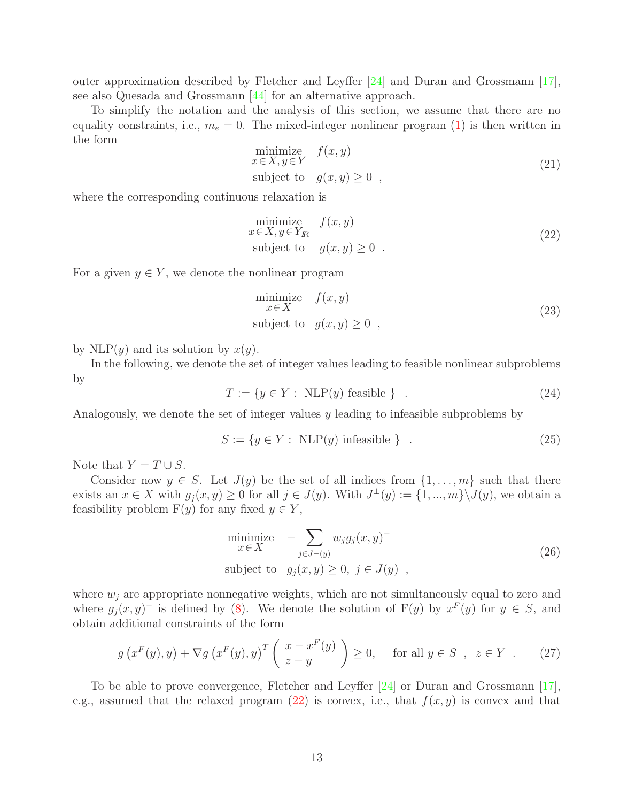outer approximation described by Fletcher and Leyffer [\[24\]](#page-27-4) and Duran and Grossmann [\[17\]](#page-26-4), see also Quesada and Grossmann [\[44\]](#page-28-7) for an alternative approach.

<span id="page-12-1"></span>To simplify the notation and the analysis of this section, we assume that there are no equality constraints, i.e.,  $m_e = 0$ . The mixed-integer nonlinear program [\(1\)](#page-1-0) is then written in the form

$$
\begin{array}{ll}\text{minimize} & f(x, y) \\ x \in X, y \in Y & \text{subject to} \quad g(x, y) \ge 0 \end{array} \tag{21}
$$

where the corresponding continuous relaxation is

<span id="page-12-0"></span>
$$
\begin{array}{ll}\text{minimize} & f(x, y) \\ x \in X, y \in Y_{I\!R} \\ \text{subject to} & g(x, y) \ge 0 \end{array} \tag{22}
$$

For a given  $y \in Y$ , we denote the nonlinear program

<span id="page-12-3"></span><span id="page-12-2"></span>minimize 
$$
f(x, y)
$$
  
\n $x \in X$   
\nsubject to  $g(x, y) \ge 0$ , (23)

by NLP(y) and its solution by  $x(y)$ .

<span id="page-12-4"></span>In the following, we denote the set of integer values leading to feasible nonlinear subproblems by

$$
T := \{ y \in Y : \text{ NLP}(y) \text{ feasible } \} . \tag{24}
$$

Analogously, we denote the set of integer values y leading to infeasible subproblems by

$$
S := \{ y \in Y : \text{ NLP}(y) \text{ infeasible } \} \tag{25}
$$

Note that  $Y = T \cup S$ .

Consider now  $y \in S$ . Let  $J(y)$  be the set of all indices from  $\{1,\ldots,m\}$  such that there exists an  $x \in X$  with  $g_i(x, y) \ge 0$  for all  $j \in J(y)$ . With  $J^{\perp}(y) := \{1, ..., m\} \backslash J(y)$ , we obtain a feasibility problem  $F(y)$  for any fixed  $y \in Y$ ,

$$
\begin{array}{ll}\text{minimize} & -\sum_{j \in J^{\perp}(y)} w_j g_j(x, y) \\ \text{subject to} & g_j(x, y) \ge 0, \ j \in J(y) \end{array} \tag{26}
$$

where  $w_j$  are appropriate nonnegative weights, which are not simultaneously equal to zero and where  $g_j(x, y)$ <sup>-</sup> is defined by [\(8\)](#page-5-3). We denote the solution of F(y) by  $x^F(y)$  for  $y \in S$ , and obtain additional constraints of the form

$$
g\left(x^F(y),y\right) + \nabla g\left(x^F(y),y\right)^T \left(\begin{array}{c} x - x^F(y) \\ z - y \end{array}\right) \ge 0, \quad \text{for all } y \in S \text{ , } z \in Y \text{ . } (27)
$$

To be able to prove convergence, Fletcher and Leyffer [\[24\]](#page-27-4) or Duran and Grossmann [\[17\]](#page-26-4), e.g., assumed that the relaxed program  $(22)$  is convex, i.e., that  $f(x, y)$  is convex and that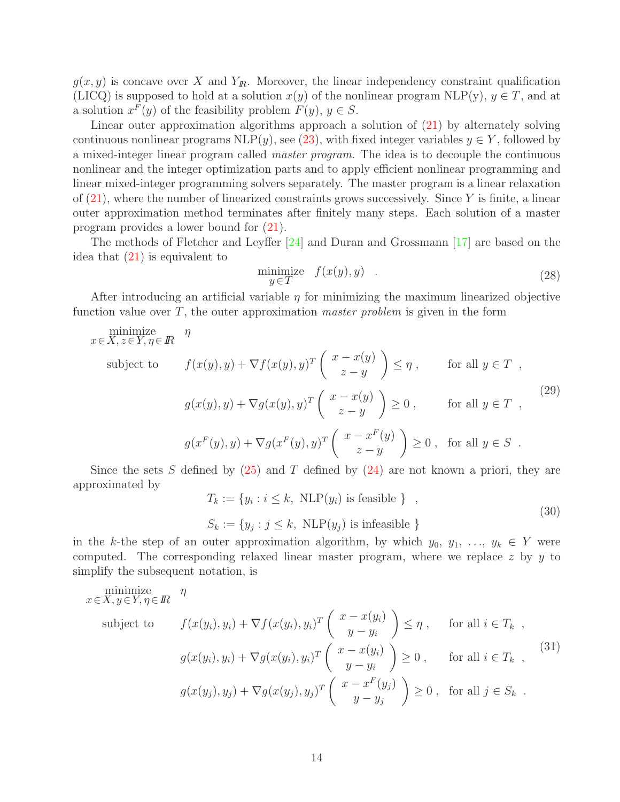$g(x, y)$  is concave over X and  $Y_{\mathbb{R}}$ . Moreover, the linear independency constraint qualification (LICQ) is supposed to hold at a solution  $x(y)$  of the nonlinear program NLP(y),  $y \in T$ , and at a solution  $x^F(y)$  of the feasibility problem  $F(y)$ ,  $y \in S$ .

Linear outer approximation algorithms approach a solution of [\(21\)](#page-12-1) by alternately solving continuous nonlinear programs  $NLP(y)$ , see [\(23\)](#page-12-2), with fixed integer variables  $y \in Y$ , followed by a mixed-integer linear program called master program. The idea is to decouple the continuous nonlinear and the integer optimization parts and to apply efficient nonlinear programming and linear mixed-integer programming solvers separately. The master program is a linear relaxation of  $(21)$ , where the number of linearized constraints grows successively. Since Y is finite, a linear outer approximation method terminates after finitely many steps. Each solution of a master program provides a lower bound for [\(21\)](#page-12-1).

The methods of Fletcher and Leyffer [\[24\]](#page-27-4) and Duran and Grossmann [\[17\]](#page-26-4) are based on the idea that [\(21\)](#page-12-1) is equivalent to

<span id="page-13-1"></span>
$$
\begin{array}{ll}\text{minimize} & f(x(y), y) \\ y \in T \end{array} \tag{28}
$$

After introducing an artificial variable  $\eta$  for minimizing the maximum linearized objective function value over  $T$ , the outer approximation *master problem* is given in the form

minimize 
$$
\eta
$$
  
\nsubject to  $f(x(y), y) + \nabla f(x(y), y)^T \begin{pmatrix} x - x(y) \\ z - y \end{pmatrix} \leq \eta$ , for all  $y \in T$ ,  
\n $g(x(y), y) + \nabla g(x(y), y)^T \begin{pmatrix} x - x(y) \\ z - y \end{pmatrix} \geq 0$ , for all  $y \in T$ , (29)  
\n $g(x^F(y), y) + \nabla g(x^F(y), y)^T \begin{pmatrix} x - x^F(y) \\ z - y \end{pmatrix} \geq 0$ , for all  $y \in S$ .

Since the sets S defined by  $(25)$  and T defined by  $(24)$  are not known a priori, they are approximated by

<span id="page-13-0"></span>
$$
T_k := \{ y_i : i \le k, \text{ NLP}(y_i) \text{ is feasible } \},
$$
  

$$
S_k := \{ y_j : j \le k, \text{ NLP}(y_j) \text{ is infeasible } \}
$$
 (30)

in the k-the step of an outer approximation algorithm, by which  $y_0, y_1, \ldots, y_k \in Y$  were computed. The corresponding relaxed linear master program, where we replace  $z$  by  $y$  to simplify the subsequent notation, is

minimize 
$$
\eta
$$
  
\nsubject to  $f(x(y_i), y_i) + \nabla f(x(y_i), y_i)^T \begin{pmatrix} x - x(y_i) \\ y - y_i \end{pmatrix} \leq \eta$ , for all  $i \in T_k$ ,  
\n
$$
g(x(y_i), y_i) + \nabla g(x(y_i), y_i)^T \begin{pmatrix} x - x(y_i) \\ y - y_i \end{pmatrix} \geq 0
$$
, for all  $i \in T_k$ , (31)  
\n
$$
g(x(y_j), y_j) + \nabla g(x(y_j), y_j)^T \begin{pmatrix} x - x^F(y_j) \\ y - y_j \end{pmatrix} \geq 0
$$
, for all  $j \in S_k$ .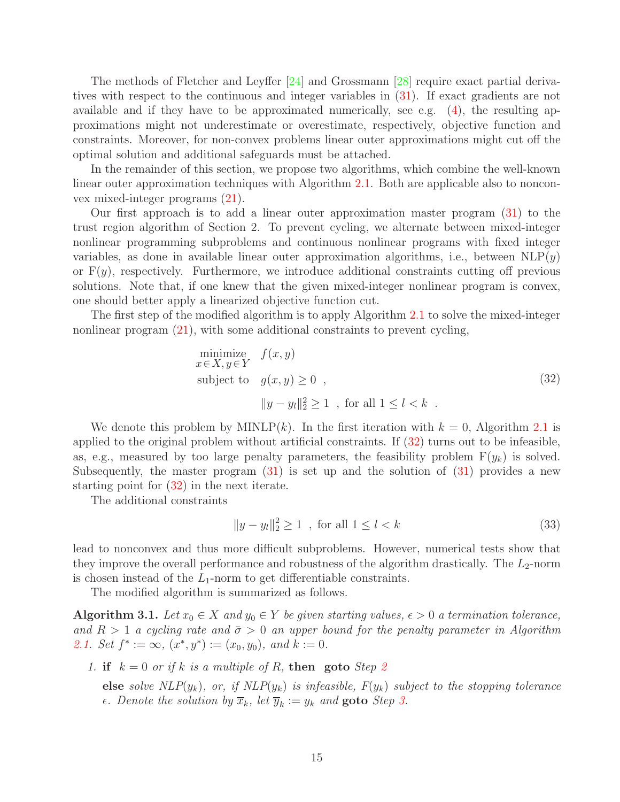The methods of Fletcher and Leyffer [\[24\]](#page-27-4) and Grossmann [\[28\]](#page-27-11) require exact partial derivatives with respect to the continuous and integer variables in [\(31\)](#page-13-0). If exact gradients are not available and if they have to be approximated numerically, see e.g. [\(4\)](#page-3-0), the resulting approximations might not underestimate or overestimate, respectively, objective function and constraints. Moreover, for non-convex problems linear outer approximations might cut off the optimal solution and additional safeguards must be attached.

In the remainder of this section, we propose two algorithms, which combine the well-known linear outer approximation techniques with Algorithm [2.1.](#page-8-1) Both are applicable also to nonconvex mixed-integer programs [\(21\)](#page-12-1).

Our first approach is to add a linear outer approximation master program [\(31\)](#page-13-0) to the trust region algorithm of Section 2. To prevent cycling, we alternate between mixed-integer nonlinear programming subproblems and continuous nonlinear programs with fixed integer variables, as done in available linear outer approximation algorithms, i.e., between  $NLP(y)$ or  $F(y)$ , respectively. Furthermore, we introduce additional constraints cutting off previous solutions. Note that, if one knew that the given mixed-integer nonlinear program is convex, one should better apply a linearized objective function cut.

The first step of the modified algorithm is to apply Algorithm [2.1](#page-8-1) to solve the mixed-integer nonlinear program [\(21\)](#page-12-1), with some additional constraints to prevent cycling,

<span id="page-14-0"></span>minimize 
$$
f(x, y)
$$
  
\n $x \in X, y \in Y$   
\nsubject to  $g(x, y) \ge 0$ ,  
\n
$$
||y - y_l||_2^2 \ge 1
$$
, for all  $1 \le l < k$ .  
\n(32)

We denote this problem by  $\text{MINLP}(k)$ . In the first iteration with  $k = 0$ , Algorithm [2.1](#page-8-1) is applied to the original problem without artificial constraints. If [\(32\)](#page-14-0) turns out to be infeasible, as, e.g., measured by too large penalty parameters, the feasibility problem  $F(y_k)$  is solved. Subsequently, the master program  $(31)$  is set up and the solution of  $(31)$  provides a new starting point for [\(32\)](#page-14-0) in the next iterate.

The additional constraints

$$
||y - y_l||_2^2 \ge 1 \quad \text{for all } 1 \le l < k \tag{33}
$$

lead to nonconvex and thus more difficult subproblems. However, numerical tests show that they improve the overall performance and robustness of the algorithm drastically. The  $L_2$ -norm is chosen instead of the  $L_1$ -norm to get differentiable constraints.

<span id="page-14-2"></span>The modified algorithm is summarized as follows.

**Algorithm 3.1.** Let  $x_0 \in X$  and  $y_0 \in Y$  be given starting values,  $\epsilon > 0$  a termination tolerance, and  $R > 1$  a cycling rate and  $\bar{\sigma} > 0$  an upper bound for the penalty parameter in Algorithm [2.1.](#page-8-1) Set  $f^* := \infty$ ,  $(x^*, y^*) := (x_0, y_0)$ , and  $k := 0$ .

<span id="page-14-1"></span>1. **if**  $k = 0$  or if k is a multiple of R, **then** goto Step [2](#page-15-0)

**else** solve  $NLP(y_k)$ , or, if  $NLP(y_k)$  is infeasible,  $F(y_k)$  subject to the stopping tolerance  $\epsilon$ . Denote the solution by  $\overline{x}_k$ , let  $\overline{y}_k := y_k$  and **goto** Step [3.](#page-15-1)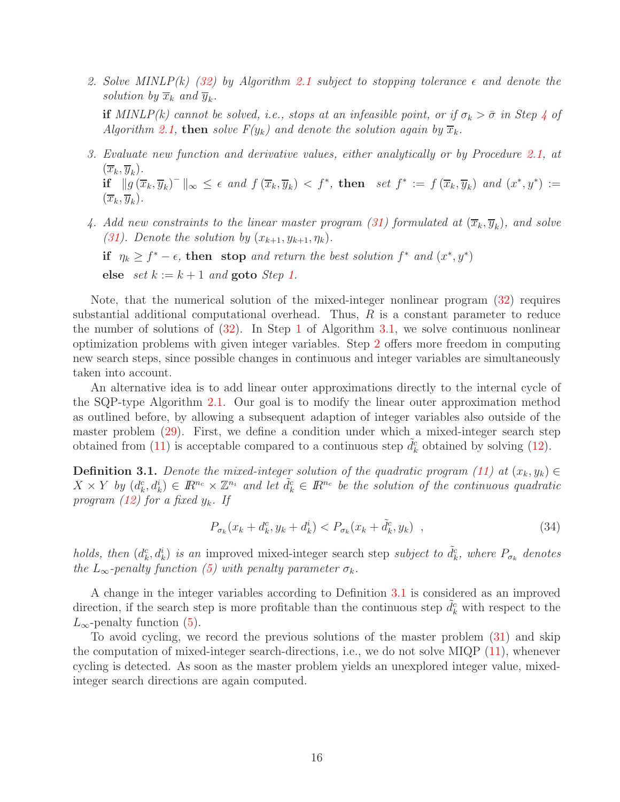<span id="page-15-0"></span>2. Solve MINLP(k) [\(32\)](#page-14-0) by Algorithm [2.1](#page-8-1) subject to stopping tolerance  $\epsilon$  and denote the solution by  $\overline{x}_k$  and  $\overline{y}_k$ .

**if** MINLP(k) cannot be solved, i.e., stops at an infeasible point, or if  $\sigma_k > \bar{\sigma}$  in Step [4](#page-9-5) of Algorithm [2.1,](#page-8-1) **then** solve  $F(y_k)$  and denote the solution again by  $\overline{x}_k$ .

- <span id="page-15-1"></span>3. Evaluate new function and derivative values, either analytically or by Procedure [2.1,](#page-8-0) at  $(\overline{x}_k, \overline{y}_k).$  $\mathbf{if} \quad ||g(\overline{x}_k, \overline{y}_k)^-||_{\infty} \leq \epsilon \text{ and } f(\overline{x}_k, \overline{y}_k) < f^*, \text{ then } \text{ set } f^* := f(\overline{x}_k, \overline{y}_k) \text{ and } (x^*, y^*) :=$  $(\overline{x}_k, \overline{y}_k).$
- 4. Add new constraints to the linear master program [\(31\)](#page-13-0) formulated at  $(\overline{x}_k, \overline{y}_k)$ , and solve [\(31\)](#page-13-0). Denote the solution by  $(x_{k+1}, y_{k+1}, \eta_k)$ . **if**  $\eta_k \geq f^* - \epsilon$ , **then** stop and return the best solution  $f^*$  and  $(x^*, y^*)$

**else** set  $k := k + 1$  and **goto** Step [1.](#page-14-1)

Note, that the numerical solution of the mixed-integer nonlinear program [\(32\)](#page-14-0) requires substantial additional computational overhead. Thus,  $R$  is a constant parameter to reduce the number of solutions of  $(32)$ . In Step [1](#page-14-1) of Algorithm [3.1,](#page-14-2) we solve continuous nonlinear optimization problems with given integer variables. Step [2](#page-15-0) offers more freedom in computing new search steps, since possible changes in continuous and integer variables are simultaneously taken into account.

An alternative idea is to add linear outer approximations directly to the internal cycle of the SQP-type Algorithm [2.1.](#page-8-1) Our goal is to modify the linear outer approximation method as outlined before, by allowing a subsequent adaption of integer variables also outside of the master problem [\(29\)](#page-13-1). First, we define a condition under which a mixed-integer search step obtained from [\(11\)](#page-6-1) is acceptable compared to a continuous step  $\tilde{d}_k^c$  obtained by solving [\(12\)](#page-6-2).

<span id="page-15-2"></span>**Definition 3.1.** Denote the mixed-integer solution of the quadratic program [\(11\)](#page-6-1) at  $(x_k, y_k) \in$  $X \times Y$  by  $(d_k^c, d_k^i) \in \mathbb{R}^{n_c} \times \mathbb{Z}^{n_i}$  and let  $\tilde{d}_k^c \in \mathbb{R}^{n_c}$  be the solution of the continuous quadratic program [\(12\)](#page-6-2) for a fixed  $y_k$ . If

$$
P_{\sigma_k}(x_k + d_k^c, y_k + d_k^i) < P_{\sigma_k}(x_k + \tilde{d}_k^c, y_k) \tag{34}
$$

holds, then  $(d_k^c, d_k^i)$  is an improved mixed-integer search step subject to  $\tilde{d}_k^c$ , where  $P_{\sigma_k}$  denotes the  $L_{\infty}$ -penalty function [\(5\)](#page-4-1) with penalty parameter  $\sigma_k$ .

A change in the integer variables according to Definition [3.1](#page-15-2) is considered as an improved direction, if the search step is more profitable than the continuous step  $\tilde{d}_k^c$  with respect to the  $L_{\infty}$ -penalty function [\(5\)](#page-4-1).

To avoid cycling, we record the previous solutions of the master problem [\(31\)](#page-13-0) and skip the computation of mixed-integer search-directions, i.e., we do not solve MIQP  $(11)$ , whenever cycling is detected. As soon as the master problem yields an unexplored integer value, mixedinteger search directions are again computed.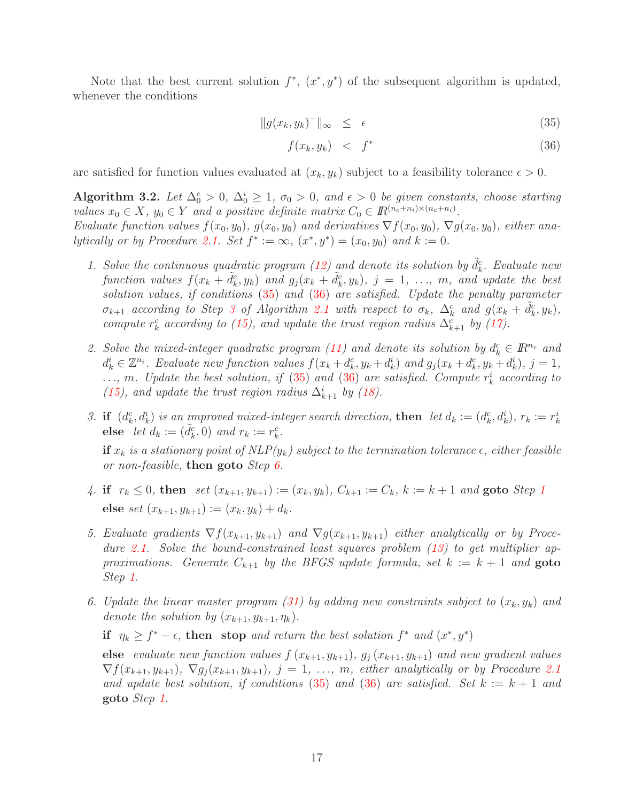Note that the best current solution  $f^*$ ,  $(x^*, y^*)$  of the subsequent algorithm is updated, whenever the conditions

<span id="page-16-0"></span>
$$
||g(x_k, y_k)^-||_{\infty} \leq \epsilon \tag{35}
$$

$$
f(x_k, y_k) < f^* \tag{36}
$$

are satisfied for function values evaluated at  $(x_k, y_k)$  subject to a feasibility tolerance  $\epsilon > 0$ .

**Algorithm 3.2.** Let  $\Delta_0^c > 0$ ,  $\Delta_0^i \geq 1$ ,  $\sigma_0 > 0$ , and  $\epsilon > 0$  be given constants, choose starting values  $x_0 \in X$ ,  $y_0 \in Y$  and a positive definite matrix  $C_0 \in \mathbb{R}^{(n_c+n_i)\times(n_c+n_i)}$ .

<span id="page-16-2"></span>Evaluate function values  $f(x_0, y_0)$ ,  $g(x_0, y_0)$  and derivatives  $\nabla f(x_0, y_0)$ ,  $\nabla g(x_0, y_0)$ , either ana-lytically or by Procedure [2.1.](#page-8-0) Set  $f^* := \infty$ ,  $(x^*, y^*) = (x_0, y_0)$  and  $k := 0$ .

- 1. Solve the continuous quadratic program [\(12\)](#page-6-2) and denote its solution by  $\tilde{d}_k^c$ . Evaluate new function values  $f(x_k + \tilde{d}_k^c, y_k)$  and  $g_j(x_k + \tilde{d}_k^c, y_k)$ ,  $j = 1, \ldots, m$ , and update the best solution values, if conditions  $(35)$  and  $(36)$  are satisfied. Update the penalty parameter  $\sigma_{k+1}$  according to Step [3](#page-9-7) of Algorithm [2.1](#page-8-1) with respect to  $\sigma_k$ ,  $\Delta_k^c$  and  $g(x_k + \tilde{d}_k^c, y_k)$ , compute  $r_k^c$  according to [\(15\)](#page-9-8), and update the trust region radius  $\Delta_{k+1}^c$  by [\(17\)](#page-9-3).
- 2. Solve the mixed-integer quadratic program [\(11\)](#page-6-1) and denote its solution by  $d_k^c \in \mathbb{R}^{n_c}$  and  $d_k^i \in \mathbb{Z}^{n_i}$ . Evaluate new function values  $f(x_k + d_k^c, y_k + d_k^i)$  and  $g_j(x_k + d_k^c, y_k + d_k^i)$ ,  $j = 1$ ,  $\ldots$ , m. Update the best solution, if [\(35\)](#page-16-0) and [\(36\)](#page-16-0) are satisfied. Compute  $r_k^i$  according to [\(15\)](#page-9-8), and update the trust region radius  $\Delta_{k+1}^i$  by [\(18\)](#page-9-4).
- 3. **if**  $(d_k^c, d_k^i)$  is an improved mixed-integer search direction, **then** let  $d_k := (d_k^c, d_k^i)$ ,  $r_k := r_k^i$ **else** let  $d_k := (\tilde{d}_k^c, 0)$  and  $r_k := r_k^c$ .

**if**  $x_k$  is a stationary point of  $NLP(y_k)$  subject to the termination tolerance  $\epsilon$ , either feasible or non-feasible, **then goto** Step [6.](#page-16-1)

- 4. **if**  $r_k \leq 0$ , **then** set  $(x_{k+1}, y_{k+1}) := (x_k, y_k)$  $(x_{k+1}, y_{k+1}) := (x_k, y_k)$  $(x_{k+1}, y_{k+1}) := (x_k, y_k)$ ,  $C_{k+1} := C_k$ ,  $k := k+1$  and **goto** Step 1 **else** set  $(x_{k+1}, y_{k+1}) := (x_k, y_k) + d_k$ .
- 5. Evaluate gradients  $\nabla f(x_{k+1}, y_{k+1})$  and  $\nabla g(x_{k+1}, y_{k+1})$  either analytically or by Proce-dure [2.1.](#page-8-0) Solve the bound-constrained least squares problem [\(13\)](#page-6-0) to get multiplier approximations. Generate  $C_{k+1}$  by the BFGS update formula, set  $k := k+1$  and **goto** Step [1.](#page-16-2)
- <span id="page-16-1"></span>6. Update the linear master program [\(31\)](#page-13-0) by adding new constraints subject to  $(x_k, y_k)$  and denote the solution by  $(x_{k+1}, y_{k+1}, \eta_k)$ .

**if**  $\eta_k \geq f^* - \epsilon$ , **then** stop and return the best solution  $f^*$  and  $(x^*, y^*)$ 

**else** evaluate new function values  $f(x_{k+1}, y_{k+1}), g_i(x_{k+1}, y_{k+1})$  and new gradient values  $\nabla f(x_{k+1}, y_{k+1}), \nabla g_i(x_{k+1}, y_{k+1}), j = 1, ..., m$ , either analytically or by Procedure [2.1](#page-8-0) and update best solution, if conditions [\(35\)](#page-16-0) and [\(36\)](#page-16-0) are satisfied. Set  $k := k + 1$  and **goto** Step [1.](#page-16-2)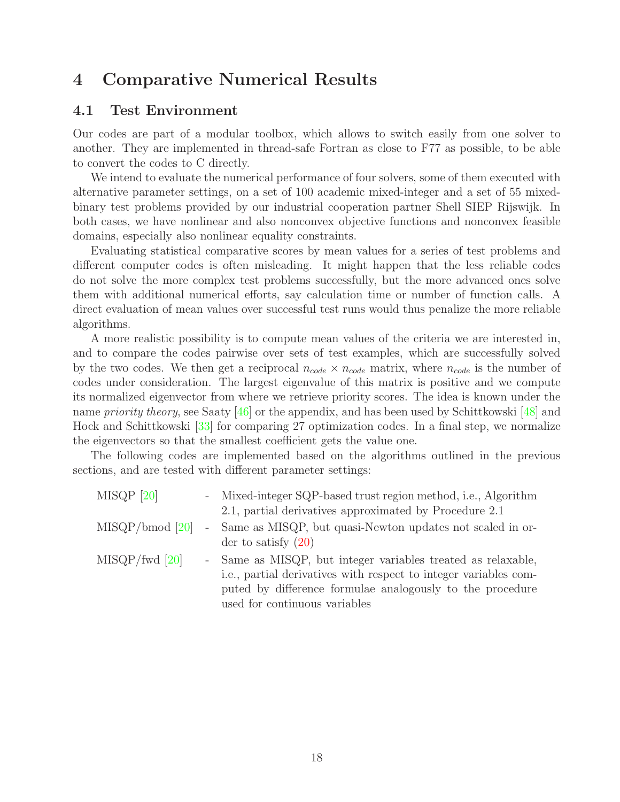## <span id="page-17-0"></span>**4 Comparative Numerical Results**

### **4.1 Test Environment**

Our codes are part of a modular toolbox, which allows to switch easily from one solver to another. They are implemented in thread-safe Fortran as close to F77 as possible, to be able to convert the codes to C directly.

We intend to evaluate the numerical performance of four solvers, some of them executed with alternative parameter settings, on a set of 100 academic mixed-integer and a set of 55 mixedbinary test problems provided by our industrial cooperation partner Shell SIEP Rijswijk. In both cases, we have nonlinear and also nonconvex objective functions and nonconvex feasible domains, especially also nonlinear equality constraints.

Evaluating statistical comparative scores by mean values for a series of test problems and different computer codes is often misleading. It might happen that the less reliable codes do not solve the more complex test problems successfully, but the more advanced ones solve them with additional numerical efforts, say calculation time or number of function calls. A direct evaluation of mean values over successful test runs would thus penalize the more reliable algorithms.

A more realistic possibility is to compute mean values of the criteria we are interested in, and to compare the codes pairwise over sets of test examples, which are successfully solved by the two codes. We then get a reciprocal  $n_{code} \times n_{code}$  matrix, where  $n_{code}$  is the number of codes under consideration. The largest eigenvalue of this matrix is positive and we compute its normalized eigenvector from where we retrieve priority scores. The idea is known under the name *priority theory*, see Saaty [\[46\]](#page-29-11) or the appendix, and has been used by Schittkowski [\[48\]](#page-29-12) and Hock and Schittkowski [\[33\]](#page-28-8) for comparing 27 optimization codes. In a final step, we normalize the eigenvectors so that the smallest coefficient gets the value one.

The following codes are implemented based on the algorithms outlined in the previous sections, and are tested with different parameter settings:

| $MISQP$ [20]      |            | - Mixed-integer SQP-based trust region method, i.e., Algorithm<br>2.1, partial derivatives approximated by Procedure 2.1                                                                                                       |
|-------------------|------------|--------------------------------------------------------------------------------------------------------------------------------------------------------------------------------------------------------------------------------|
| $MISQP/bmod$ [20] | $\sim$ $-$ | Same as MISQP, but quasi-Newton updates not scaled in or-<br>der to satisfy $(20)$                                                                                                                                             |
| $MISQP$ /fwd [20] |            | - Same as MISQP, but integer variables treated as relaxable,<br>i.e., partial derivatives with respect to integer variables com-<br>puted by difference formulae analogously to the procedure<br>used for continuous variables |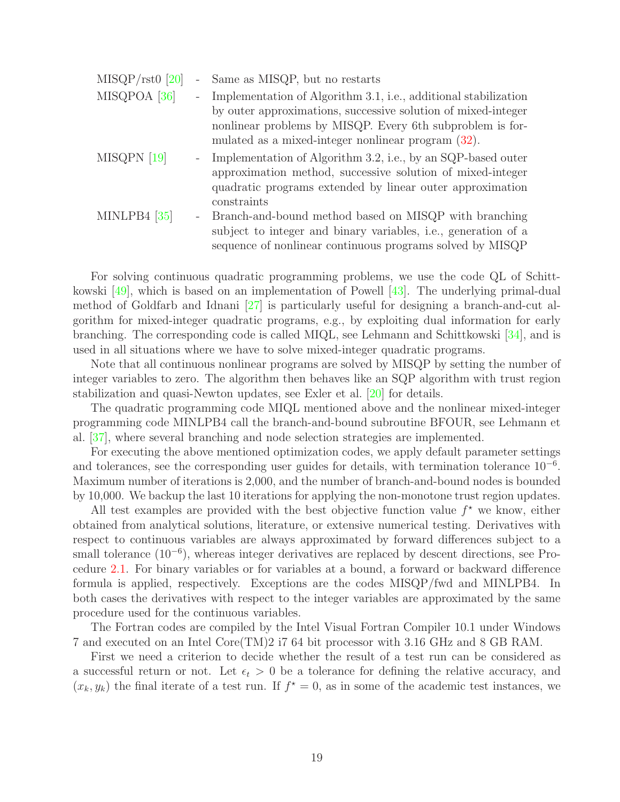| $MISQP/rst0$ [20]       |                          | - Same as MISQP, but no restarts                                                                                                                                                                                                                    |
|-------------------------|--------------------------|-----------------------------------------------------------------------------------------------------------------------------------------------------------------------------------------------------------------------------------------------------|
| MISQPOA <sup>[36]</sup> | $\overline{\phantom{a}}$ | Implementation of Algorithm 3.1, i.e., additional stabilization<br>by outer approximations, successive solution of mixed-integer<br>nonlinear problems by MISQP. Every 6th subproblem is for-<br>mulated as a mixed-integer nonlinear program (32). |
| MISQPN [19]             | $\overline{\phantom{a}}$ | Implementation of Algorithm 3.2, i.e., by an SQP-based outer<br>approximation method, successive solution of mixed-integer<br>quadratic programs extended by linear outer approximation<br>constraints                                              |
| MINLPB4 $[35]$          | $\sim$                   | Branch-and-bound method based on MISQP with branching<br>subject to integer and binary variables, i.e., generation of a<br>sequence of nonlinear continuous programs solved by MISQP                                                                |

For solving continuous quadratic programming problems, we use the code QL of Schittkowski [\[49\]](#page-29-13), which is based on an implementation of Powell [\[43\]](#page-28-9). The underlying primal-dual method of Goldfarb and Idnani [\[27\]](#page-27-12) is particularly useful for designing a branch-and-cut algorithm for mixed-integer quadratic programs, e.g., by exploiting dual information for early branching. The corresponding code is called MIQL, see Lehmann and Schittkowski [\[34\]](#page-28-10), and is used in all situations where we have to solve mixed-integer quadratic programs.

Note that all continuous nonlinear programs are solved by MISQP by setting the number of integer variables to zero. The algorithm then behaves like an SQP algorithm with trust region stabilization and quasi-Newton updates, see Exler et al. [\[20\]](#page-27-6) for details.

The quadratic programming code MIQL mentioned above and the nonlinear mixed-integer programming code MINLPB4 call the branch-and-bound subroutine BFOUR, see Lehmann et al. [\[37\]](#page-28-11), where several branching and node selection strategies are implemented.

For executing the above mentioned optimization codes, we apply default parameter settings and tolerances, see the corresponding user guides for details, with termination tolerance  $10^{-6}$ . Maximum number of iterations is 2,000, and the number of branch-and-bound nodes is bounded by 10,000. We backup the last 10 iterations for applying the non-monotone trust region updates.

All test examples are provided with the best objective function value  $f^*$  we know, either obtained from analytical solutions, literature, or extensive numerical testing. Derivatives with respect to continuous variables are always approximated by forward differences subject to a small tolerance (10<sup>-6</sup>), whereas integer derivatives are replaced by descent directions, see Procedure [2.1.](#page-8-0) For binary variables or for variables at a bound, a forward or backward difference formula is applied, respectively. Exceptions are the codes MISQP/fwd and MINLPB4. In both cases the derivatives with respect to the integer variables are approximated by the same procedure used for the continuous variables.

The Fortran codes are compiled by the Intel Visual Fortran Compiler 10.1 under Windows 7 and executed on an Intel Core(TM)2 i7 64 bit processor with 3.16 GHz and 8 GB RAM.

First we need a criterion to decide whether the result of a test run can be considered as a successful return or not. Let  $\epsilon_t > 0$  be a tolerance for defining the relative accuracy, and  $(x_k, y_k)$  the final iterate of a test run. If  $f^* = 0$ , as in some of the academic test instances, we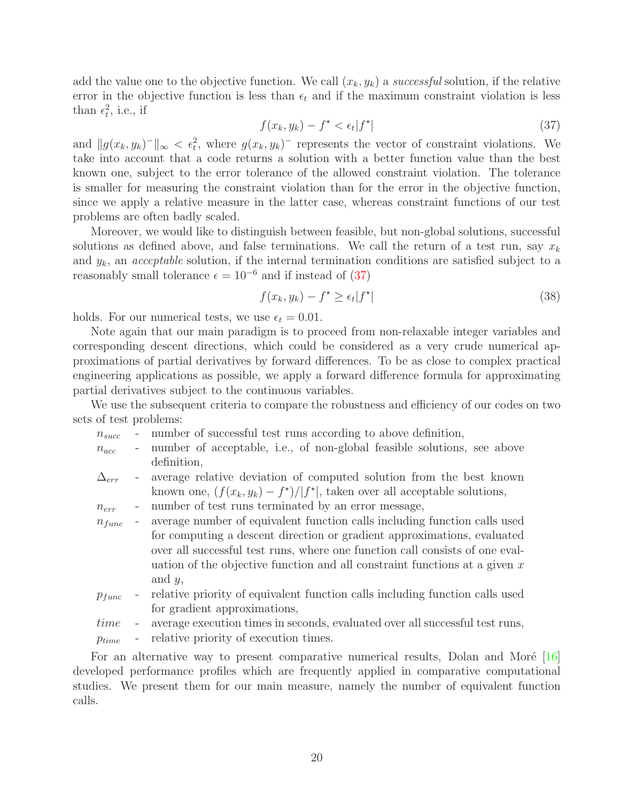<span id="page-19-0"></span>add the value one to the objective function. We call  $(x_k, y_k)$  a successful solution, if the relative error in the objective function is less than  $\epsilon_t$  and if the maximum constraint violation is less than  $\epsilon_t^2$ , i.e., if

$$
f(x_k, y_k) - f^* < \epsilon_t |f^*| \tag{37}
$$

and  $||g(x_k, y_k)^-||_{\infty} < \epsilon_t^2$ , where  $g(x_k, y_k)^-$  represents the vector of constraint violations. We take into account that a code returns a solution with a better function value than the best known one, subject to the error tolerance of the allowed constraint violation. The tolerance is smaller for measuring the constraint violation than for the error in the objective function, since we apply a relative measure in the latter case, whereas constraint functions of our test problems are often badly scaled.

Moreover, we would like to distinguish between feasible, but non-global solutions, successful solutions as defined above, and false terminations. We call the return of a test run, say  $x_k$ and  $y_k$ , an *acceptable* solution, if the internal termination conditions are satisfied subject to a reasonably small tolerance  $\epsilon = 10^{-6}$  and if instead of [\(37\)](#page-19-0)

$$
f(x_k, y_k) - f^* \ge \epsilon_t |f^*| \tag{38}
$$

holds. For our numerical tests, we use  $\epsilon_t = 0.01$ .

Note again that our main paradigm is to proceed from non-relaxable integer variables and corresponding descent directions, which could be considered as a very crude numerical approximations of partial derivatives by forward differences. To be as close to complex practical engineering applications as possible, we apply a forward difference formula for approximating partial derivatives subject to the continuous variables.

We use the subsequent criteria to compare the robustness and efficiency of our codes on two sets of test problems:

| $n_{succ}$ |  |  |  |  | number of successful test runs according to above definition, |
|------------|--|--|--|--|---------------------------------------------------------------|
|            |  |  |  |  |                                                               |

- $n_{acc}$  number of acceptable, i.e., of non-global feasible solutions, see above definition,
- $\Delta_{err}$  average relative deviation of computed solution from the best known known one,  $(f(x_k, y_k) - f^*)/|f^*|$ , taken over all acceptable solutions,
- $n_{err}$  number of test runs terminated by an error message,
- $n_{func}$  average number of equivalent function calls including function calls used for computing a descent direction or gradient approximations, evaluated over all successful test runs, where one function call consists of one evaluation of the objective function and all constraint functions at a given  $x$ and  $y$ ,
- $p_{func}$  relative priority of equivalent function calls including function calls used for gradient approximations,
- time average execution times in seconds, evaluated over all successful test runs,
- $p_{time}$  relative priority of execution times.

For an alternative way to present comparative numerical results, Dolan and Moré  $[16]$ developed performance profiles which are frequently applied in comparative computational studies. We present them for our main measure, namely the number of equivalent function calls.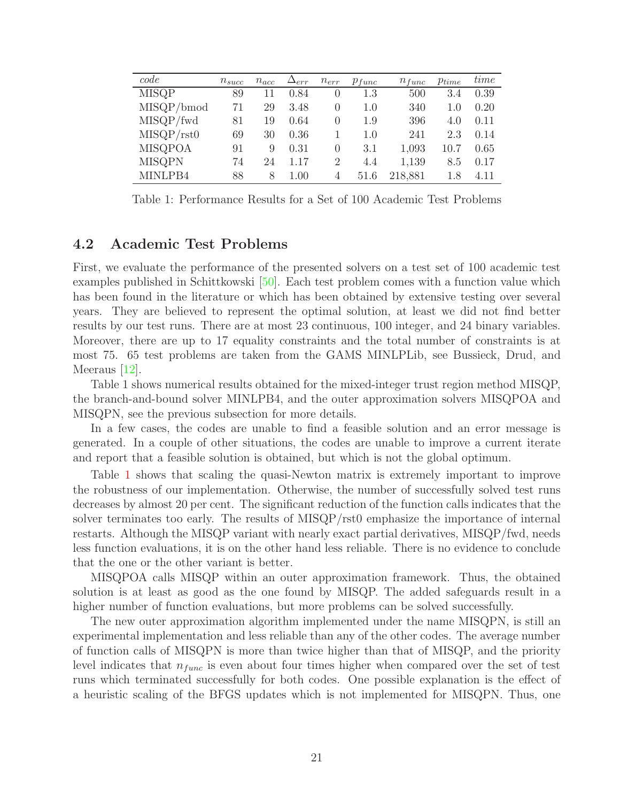| code           | $n_{succ}$ | $n_{acc}$ | $\Delta_{err}$ | $n_{err}$ | $p_{func}$ | $n_{func}$ | $p_{time}$ | time |
|----------------|------------|-----------|----------------|-----------|------------|------------|------------|------|
| <b>MISQP</b>   | 89         | 11        | 0.84           |           | 1.3        | 500        | 3.4        | 0.39 |
| MISQP/bmod     | 71         | 29        | 3.48           | $\Omega$  | 1.0        | 340        | 1.0        | 0.20 |
| MISQP/fwd      | 81         | 19        | 0.64           | $\Omega$  | 1.9        | 396        | 4.0        | 0.11 |
| MISQP/rst0     | 69         | 30        | 0.36           |           | 1.0        | 241        | 2.3        | 0.14 |
| <b>MISQPOA</b> | 91         | 9         | 0.31           | 0         | 3.1        | 1,093      | 10.7       | 0.65 |
| <b>MISQPN</b>  | 74         | 24        | 1.17           | 2         | 4.4        | 1,139      | 8.5        | 0.17 |
| MINLPB4        | 88         | 8         | 1.00           | 4         | 51.6       | 218,881    | 1.8        | 4.11 |
|                |            |           |                |           |            |            |            |      |

<span id="page-20-0"></span>Table 1: Performance Results for a Set of 100 Academic Test Problems

### **4.2 Academic Test Problems**

First, we evaluate the performance of the presented solvers on a test set of 100 academic test examples published in Schittkowski [\[50\]](#page-29-8). Each test problem comes with a function value which has been found in the literature or which has been obtained by extensive testing over several years. They are believed to represent the optimal solution, at least we did not find better results by our test runs. There are at most 23 continuous, 100 integer, and 24 binary variables. Moreover, there are up to 17 equality constraints and the total number of constraints is at most 75. 65 test problems are taken from the GAMS MINLPLib, see Bussieck, Drud, and Meeraus [\[12\]](#page-26-12).

Table 1 shows numerical results obtained for the mixed-integer trust region method MISQP, the branch-and-bound solver MINLPB4, and the outer approximation solvers MISQPOA and MISQPN, see the previous subsection for more details.

In a few cases, the codes are unable to find a feasible solution and an error message is generated. In a couple of other situations, the codes are unable to improve a current iterate and report that a feasible solution is obtained, but which is not the global optimum.

Table [1](#page-20-0) shows that scaling the quasi-Newton matrix is extremely important to improve the robustness of our implementation. Otherwise, the number of successfully solved test runs decreases by almost 20 per cent. The significant reduction of the function calls indicates that the solver terminates too early. The results of MISQP/rst0 emphasize the importance of internal restarts. Although the MISQP variant with nearly exact partial derivatives, MISQP/fwd, needs less function evaluations, it is on the other hand less reliable. There is no evidence to conclude that the one or the other variant is better.

MISQPOA calls MISQP within an outer approximation framework. Thus, the obtained solution is at least as good as the one found by MISQP. The added safeguards result in a higher number of function evaluations, but more problems can be solved successfully.

The new outer approximation algorithm implemented under the name MISQPN, is still an experimental implementation and less reliable than any of the other codes. The average number of function calls of MISQPN is more than twice higher than that of MISQP, and the priority level indicates that  $n_{func}$  is even about four times higher when compared over the set of test runs which terminated successfully for both codes. One possible explanation is the effect of a heuristic scaling of the BFGS updates which is not implemented for MISQPN. Thus, one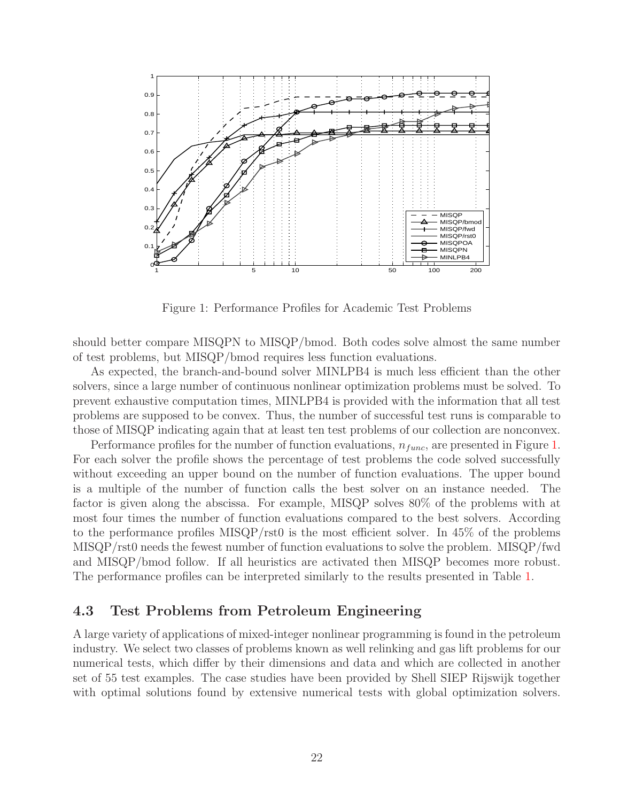

<span id="page-21-0"></span>Figure 1: Performance Profiles for Academic Test Problems

should better compare MISQPN to MISQP/bmod. Both codes solve almost the same number of test problems, but MISQP/bmod requires less function evaluations.

As expected, the branch-and-bound solver MINLPB4 is much less efficient than the other solvers, since a large number of continuous nonlinear optimization problems must be solved. To prevent exhaustive computation times, MINLPB4 is provided with the information that all test problems are supposed to be convex. Thus, the number of successful test runs is comparable to those of MISQP indicating again that at least ten test problems of our collection are nonconvex.

Performance profiles for the number of function evaluations,  $n_{func}$ , are presented in Figure [1.](#page-21-0) For each solver the profile shows the percentage of test problems the code solved successfully without exceeding an upper bound on the number of function evaluations. The upper bound is a multiple of the number of function calls the best solver on an instance needed. The factor is given along the abscissa. For example, MISQP solves 80% of the problems with at most four times the number of function evaluations compared to the best solvers. According to the performance profiles MISQP/rst0 is the most efficient solver. In 45% of the problems MISQP/rst0 needs the fewest number of function evaluations to solve the problem. MISQP/fwd and MISQP/bmod follow. If all heuristics are activated then MISQP becomes more robust. The performance profiles can be interpreted similarly to the results presented in Table [1.](#page-20-0)

### **4.3 Test Problems from Petroleum Engineering**

A large variety of applications of mixed-integer nonlinear programming is found in the petroleum industry. We select two classes of problems known as well relinking and gas lift problems for our numerical tests, which differ by their dimensions and data and which are collected in another set of 55 test examples. The case studies have been provided by Shell SIEP Rijswijk together with optimal solutions found by extensive numerical tests with global optimization solvers.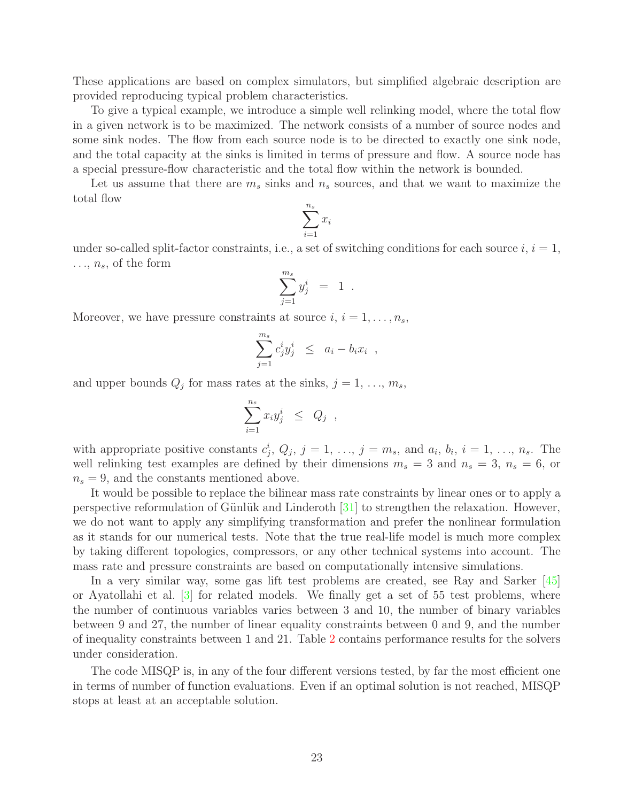These applications are based on complex simulators, but simplified algebraic description are provided reproducing typical problem characteristics.

To give a typical example, we introduce a simple well relinking model, where the total flow in a given network is to be maximized. The network consists of a number of source nodes and some sink nodes. The flow from each source node is to be directed to exactly one sink node, and the total capacity at the sinks is limited in terms of pressure and flow. A source node has a special pressure-flow characteristic and the total flow within the network is bounded.

Let us assume that there are  $m_s$  sinks and  $n_s$  sources, and that we want to maximize the total flow

$$
\sum_{i=1}^{n_s} x_i
$$

under so-called split-factor constraints, i.e., a set of switching conditions for each source  $i, i = 1$ ,  $..., n_s$ , of the form

$$
\sum_{j=1}^{m_s} y_j^i = 1.
$$

Moreover, we have pressure constraints at source  $i, i = 1, \ldots, n_s$ ,

$$
\sum_{j=1}^{m_s} c_j^i y_j^i \leq a_i - b_i x_i ,
$$

and upper bounds  $Q_j$  for mass rates at the sinks,  $j = 1, \ldots, m_s$ ,

$$
\sum_{i=1}^{n_s} x_i y_j^i \leq Q_j ,
$$

with appropriate positive constants  $c_i^i$ ,  $Q_j$ ,  $j = 1, \ldots, j = m_s$ , and  $a_i$ ,  $b_i$ ,  $i = 1, \ldots, n_s$ . The well relinking test examples are defined by their dimensions  $m_s = 3$  and  $n_s = 3$ ,  $n_s = 6$ , or  $n_s = 9$ , and the constants mentioned above.

It would be possible to replace the bilinear mass rate constraints by linear ones or to apply a perspective reformulation of Günlük and Linderoth  $[31]$  to strengthen the relaxation. However, we do not want to apply any simplifying transformation and prefer the nonlinear formulation as it stands for our numerical tests. Note that the true real-life model is much more complex by taking different topologies, compressors, or any other technical systems into account. The mass rate and pressure constraints are based on computationally intensive simulations.

In a very similar way, some gas lift test problems are created, see Ray and Sarker [\[45\]](#page-29-14) or Ayatollahi et al. [\[3\]](#page-25-1) for related models. We finally get a set of 55 test problems, where the number of continuous variables varies between 3 and 10, the number of binary variables between 9 and 27, the number of linear equality constraints between 0 and 9, and the number of inequality constraints between 1 and 21. Table [2](#page-23-0) contains performance results for the solvers under consideration.

The code MISQP is, in any of the four different versions tested, by far the most efficient one in terms of number of function evaluations. Even if an optimal solution is not reached, MISQP stops at least at an acceptable solution.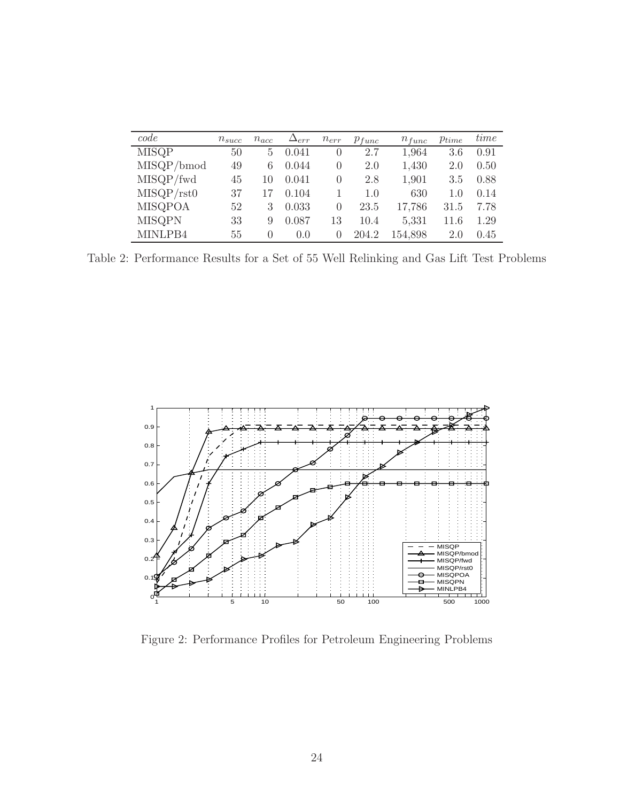| code           | $n_{succ}$ | $n_{acc}$ | $\Delta_{err}$ | $n_{err}$ | $p_{func}$ | $n_{func}$ | $p_{time}$ | time |
|----------------|------------|-----------|----------------|-----------|------------|------------|------------|------|
| <b>MISQP</b>   | 50         | 5         | 0.041          | $\theta$  | 2.7        | 1,964      | 3.6        | 0.91 |
| MISQP/bmod     | 49         | 6         | 0.044          | $\Omega$  | 2.0        | 1,430      | 2.0        | 0.50 |
| MISQP/fwd      | 45         | 10        | 0.041          | $\Omega$  | 2.8        | 1,901      | 3.5        | 0.88 |
| MISQP/rst0     | 37         | 17        | 0.104          |           | 1.0        | 630        | 1.0        | 0.14 |
| <b>MISQPOA</b> | 52         | 3         | 0.033          | $\Omega$  | 23.5       | 17,786     | 31.5       | 7.78 |
| <b>MISQPN</b>  | 33         | 9         | 0.087          | 13        | 10.4       | 5,331      | 11.6       | 1.29 |
| MINLPB4        | 55         | 0         | 0.0            | $\Omega$  | 204.2      | 154,898    | 2.0        | 0.45 |

<span id="page-23-0"></span>Table 2: Performance Results for a Set of 55 Well Relinking and Gas Lift Test Problems



<span id="page-23-1"></span>Figure 2: Performance Profiles for Petroleum Engineering Problems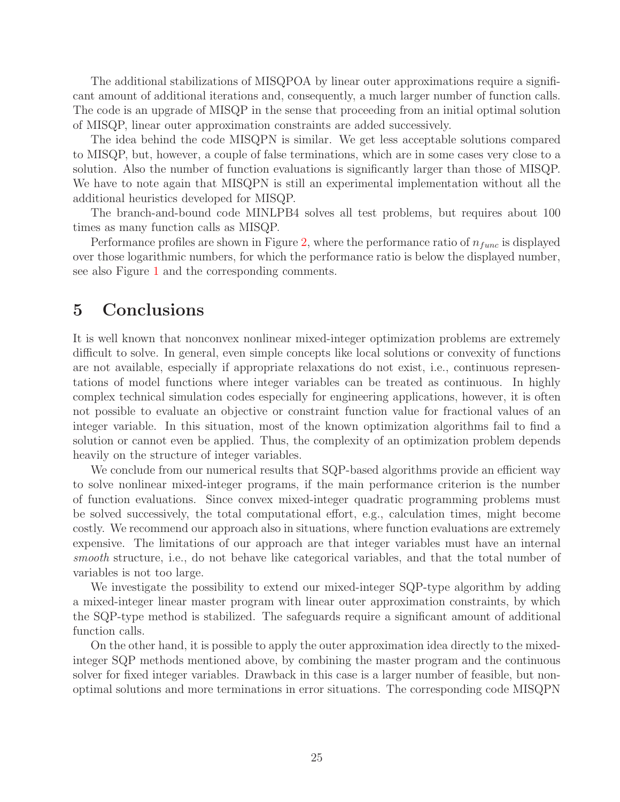The additional stabilizations of MISQPOA by linear outer approximations require a significant amount of additional iterations and, consequently, a much larger number of function calls. The code is an upgrade of MISQP in the sense that proceeding from an initial optimal solution of MISQP, linear outer approximation constraints are added successively.

The idea behind the code MISQPN is similar. We get less acceptable solutions compared to MISQP, but, however, a couple of false terminations, which are in some cases very close to a solution. Also the number of function evaluations is significantly larger than those of MISQP. We have to note again that MISQPN is still an experimental implementation without all the additional heuristics developed for MISQP.

The branch-and-bound code MINLPB4 solves all test problems, but requires about 100 times as many function calls as MISQP.

Performance profiles are shown in Figure [2,](#page-23-1) where the performance ratio of  $n_{func}$  is displayed over those logarithmic numbers, for which the performance ratio is below the displayed number, see also Figure [1](#page-21-0) and the corresponding comments.

## **5 Conclusions**

It is well known that nonconvex nonlinear mixed-integer optimization problems are extremely difficult to solve. In general, even simple concepts like local solutions or convexity of functions are not available, especially if appropriate relaxations do not exist, i.e., continuous representations of model functions where integer variables can be treated as continuous. In highly complex technical simulation codes especially for engineering applications, however, it is often not possible to evaluate an objective or constraint function value for fractional values of an integer variable. In this situation, most of the known optimization algorithms fail to find a solution or cannot even be applied. Thus, the complexity of an optimization problem depends heavily on the structure of integer variables.

We conclude from our numerical results that SQP-based algorithms provide an efficient way to solve nonlinear mixed-integer programs, if the main performance criterion is the number of function evaluations. Since convex mixed-integer quadratic programming problems must be solved successively, the total computational effort, e.g., calculation times, might become costly. We recommend our approach also in situations, where function evaluations are extremely expensive. The limitations of our approach are that integer variables must have an internal smooth structure, i.e., do not behave like categorical variables, and that the total number of variables is not too large.

We investigate the possibility to extend our mixed-integer SQP-type algorithm by adding a mixed-integer linear master program with linear outer approximation constraints, by which the SQP-type method is stabilized. The safeguards require a significant amount of additional function calls.

On the other hand, it is possible to apply the outer approximation idea directly to the mixedinteger SQP methods mentioned above, by combining the master program and the continuous solver for fixed integer variables. Drawback in this case is a larger number of feasible, but nonoptimal solutions and more terminations in error situations. The corresponding code MISQPN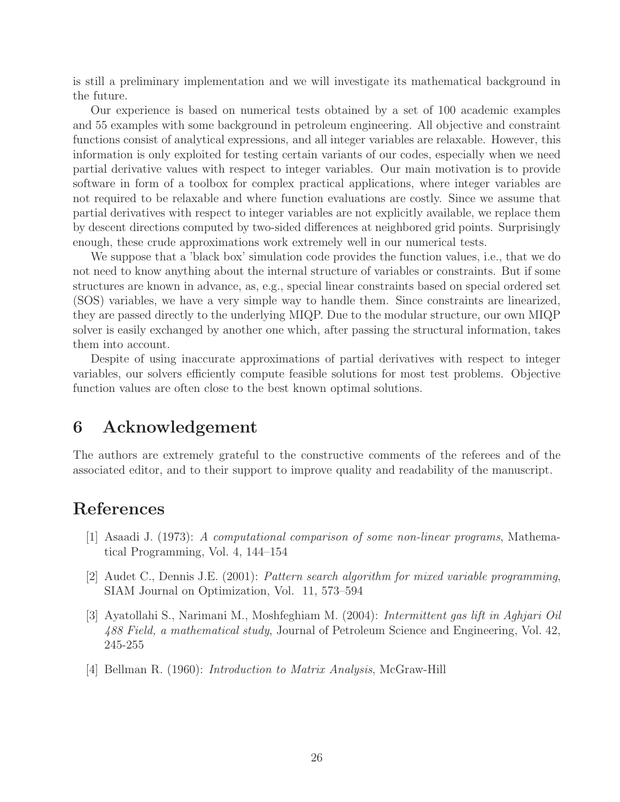is still a preliminary implementation and we will investigate its mathematical background in the future.

Our experience is based on numerical tests obtained by a set of 100 academic examples and 55 examples with some background in petroleum engineering. All objective and constraint functions consist of analytical expressions, and all integer variables are relaxable. However, this information is only exploited for testing certain variants of our codes, especially when we need partial derivative values with respect to integer variables. Our main motivation is to provide software in form of a toolbox for complex practical applications, where integer variables are not required to be relaxable and where function evaluations are costly. Since we assume that partial derivatives with respect to integer variables are not explicitly available, we replace them by descent directions computed by two-sided differences at neighbored grid points. Surprisingly enough, these crude approximations work extremely well in our numerical tests.

We suppose that a 'black box' simulation code provides the function values, i.e., that we do not need to know anything about the internal structure of variables or constraints. But if some structures are known in advance, as, e.g., special linear constraints based on special ordered set (SOS) variables, we have a very simple way to handle them. Since constraints are linearized, they are passed directly to the underlying MIQP. Due to the modular structure, our own MIQP solver is easily exchanged by another one which, after passing the structural information, takes them into account.

Despite of using inaccurate approximations of partial derivatives with respect to integer variables, our solvers efficiently compute feasible solutions for most test problems. Objective function values are often close to the best known optimal solutions.

## **6 Acknowledgement**

The authors are extremely grateful to the constructive comments of the referees and of the associated editor, and to their support to improve quality and readability of the manuscript.

## **References**

- [1] Asaadi J. (1973): A computational comparison of some non-linear programs, Mathematical Programming, Vol. 4, 144–154
- <span id="page-25-0"></span>[2] Audet C., Dennis J.E. (2001): Pattern search algorithm for mixed variable programming, SIAM Journal on Optimization, Vol. 11, 573–594
- <span id="page-25-1"></span>[3] Ayatollahi S., Narimani M., Moshfeghiam M. (2004): Intermittent gas lift in Aghjari Oil 488 Field, a mathematical study, Journal of Petroleum Science and Engineering, Vol. 42, 245-255
- <span id="page-25-2"></span>[4] Bellman R. (1960): Introduction to Matrix Analysis, McGraw-Hill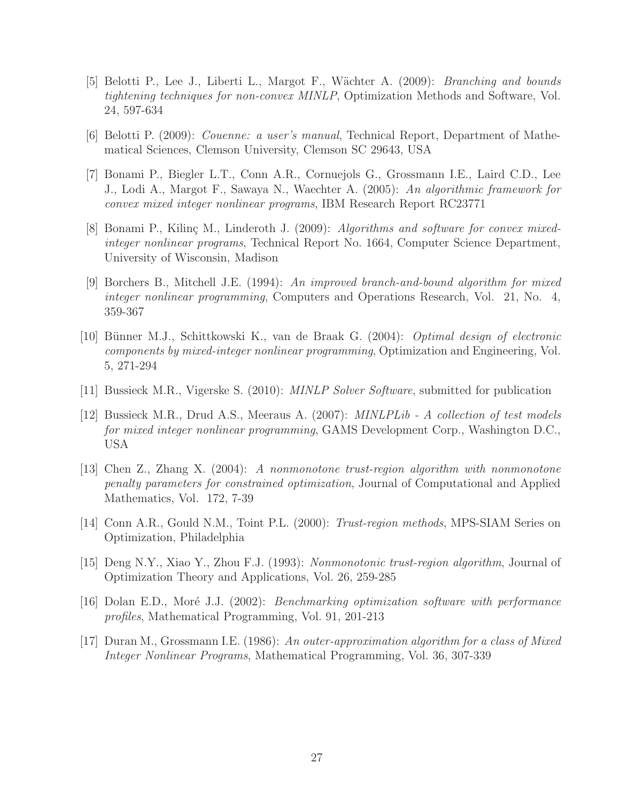- <span id="page-26-7"></span>[5] Belotti P., Lee J., Liberti L., Margot F., W¨achter A. (2009): Branching and bounds tightening techniques for non-convex MINLP, Optimization Methods and Software, Vol. 24, 597-634
- <span id="page-26-6"></span><span id="page-26-5"></span>[6] Belotti P. (2009): Couenne: a user's manual, Technical Report, Department of Mathematical Sciences, Clemson University, Clemson SC 29643, USA
- [7] Bonami P., Biegler L.T., Conn A.R., Cornuejols G., Grossmann I.E., Laird C.D., Lee J., Lodi A., Margot F., Sawaya N., Waechter A. (2005): An algorithmic framework for convex mixed integer nonlinear programs, IBM Research Report RC23771
- <span id="page-26-0"></span>[8] Bonami P., Kilinç M., Linderoth J. (2009): Algorithms and software for convex mixedinteger nonlinear programs, Technical Report No. 1664, Computer Science Department, University of Wisconsin, Madison
- <span id="page-26-3"></span>[9] Borchers B., Mitchell J.E. (1994): An improved branch-and-bound algorithm for mixed integer nonlinear programming, Computers and Operations Research, Vol. 21, No. 4, 359-367
- <span id="page-26-2"></span>[10] Bünner M.J., Schittkowski K., van de Braak G. (2004): *Optimal design of electronic* components by mixed-integer nonlinear programming, Optimization and Engineering, Vol. 5, 271-294
- <span id="page-26-12"></span><span id="page-26-1"></span>[11] Bussieck M.R., Vigerske S. (2010): MINLP Solver Software, submitted for publication
- [12] Bussieck M.R., Drud A.S., Meeraus A. (2007): MINLPLib A collection of test models for mixed integer nonlinear programming, GAMS Development Corp., Washington D.C., USA
- <span id="page-26-9"></span>[13] Chen Z., Zhang X. (2004): A nonmonotone trust-region algorithm with nonmonotone penalty parameters for constrained optimization, Journal of Computational and Applied Mathematics, Vol. 172, 7-39
- <span id="page-26-10"></span><span id="page-26-8"></span>[14] Conn A.R., Gould N.M., Toint P.L. (2000): Trust-region methods, MPS-SIAM Series on Optimization, Philadelphia
- <span id="page-26-11"></span>[15] Deng N.Y., Xiao Y., Zhou F.J. (1993): Nonmonotonic trust-region algorithm, Journal of Optimization Theory and Applications, Vol. 26, 259-285
- [16] Dolan E.D., Moré J.J. (2002): *Benchmarking optimization software with performance* profiles, Mathematical Programming, Vol. 91, 201-213
- <span id="page-26-4"></span>[17] Duran M., Grossmann I.E. (1986): An outer-approximation algorithm for a class of Mixed Integer Nonlinear Programs, Mathematical Programming, Vol. 36, 307-339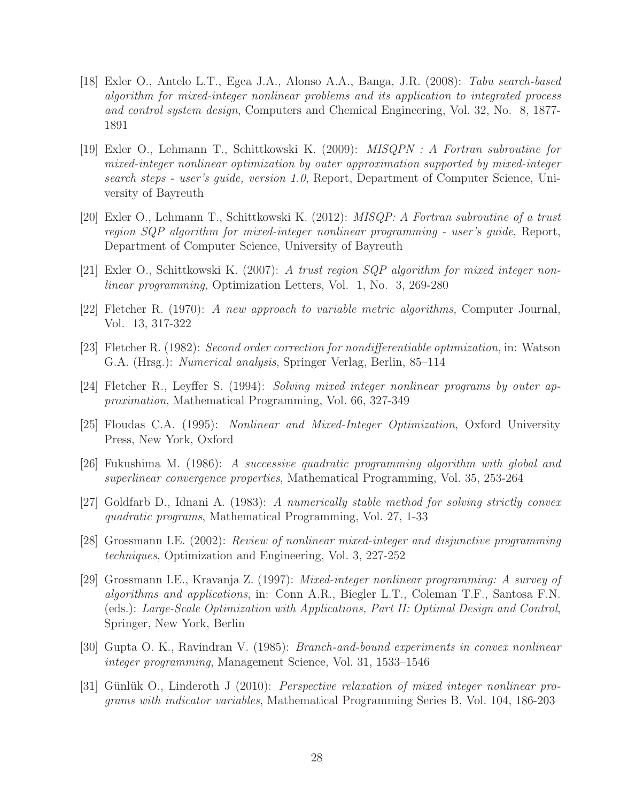- <span id="page-27-2"></span>[18] Exler O., Antelo L.T., Egea J.A., Alonso A.A., Banga, J.R. (2008): Tabu search-based algorithm for mixed-integer nonlinear problems and its application to integrated process and control system design, Computers and Chemical Engineering, Vol. 32, No. 8, 1877- 1891
- <span id="page-27-7"></span>[19] Exler O., Lehmann T., Schittkowski K. (2009): MISQPN : A Fortran subroutine for mixed-integer nonlinear optimization by outer approximation supported by mixed-integer search steps - user's quide, version 1.0, Report, Department of Computer Science, University of Bayreuth
- <span id="page-27-6"></span>[20] Exler O., Lehmann T., Schittkowski K. (2012): MISQP: A Fortran subroutine of a trust region SQP algorithm for mixed-integer nonlinear programming - user's guide, Report, Department of Computer Science, University of Bayreuth
- <span id="page-27-8"></span><span id="page-27-5"></span>[21] Exler O., Schittkowski K. (2007): A trust region SQP algorithm for mixed integer nonlinear programming, Optimization Letters, Vol. 1, No. 3, 269-280
- <span id="page-27-10"></span>[22] Fletcher R. (1970): A new approach to variable metric algorithms, Computer Journal, Vol. 13, 317-322
- <span id="page-27-4"></span>[23] Fletcher R. (1982): Second order correction for nondifferentiable optimization, in: Watson G.A. (Hrsg.): Numerical analysis, Springer Verlag, Berlin, 85–114
- <span id="page-27-0"></span>[24] Fletcher R., Leyffer S. (1994): Solving mixed integer nonlinear programs by outer approximation, Mathematical Programming, Vol. 66, 327-349
- <span id="page-27-9"></span>[25] Floudas C.A. (1995): Nonlinear and Mixed-Integer Optimization, Oxford University Press, New York, Oxford
- <span id="page-27-12"></span>[26] Fukushima M. (1986): A successive quadratic programming algorithm with global and superlinear convergence properties, Mathematical Programming, Vol. 35, 253-264
- <span id="page-27-11"></span>[27] Goldfarb D., Idnani A. (1983): A numerically stable method for solving strictly convex quadratic programs, Mathematical Programming, Vol. 27, 1-33
- [28] Grossmann I.E. (2002): Review of nonlinear mixed-integer and disjunctive programming techniques, Optimization and Engineering, Vol. 3, 227-252
- <span id="page-27-1"></span>[29] Grossmann I.E., Kravanja Z. (1997): Mixed-integer nonlinear programming: A survey of algorithms and applications, in: Conn A.R., Biegler L.T., Coleman T.F., Santosa F.N. (eds.): Large-Scale Optimization with Applications, Part II: Optimal Design and Control, Springer, New York, Berlin
- <span id="page-27-3"></span>[30] Gupta O. K., Ravindran V. (1985): Branch-and-bound experiments in convex nonlinear integer programming, Management Science, Vol. 31, 1533–1546
- <span id="page-27-13"></span>[31] Günlük O., Linderoth J (2010): Perspective relaxation of mixed integer nonlinear programs with indicator variables, Mathematical Programming Series B, Vol. 104, 186-203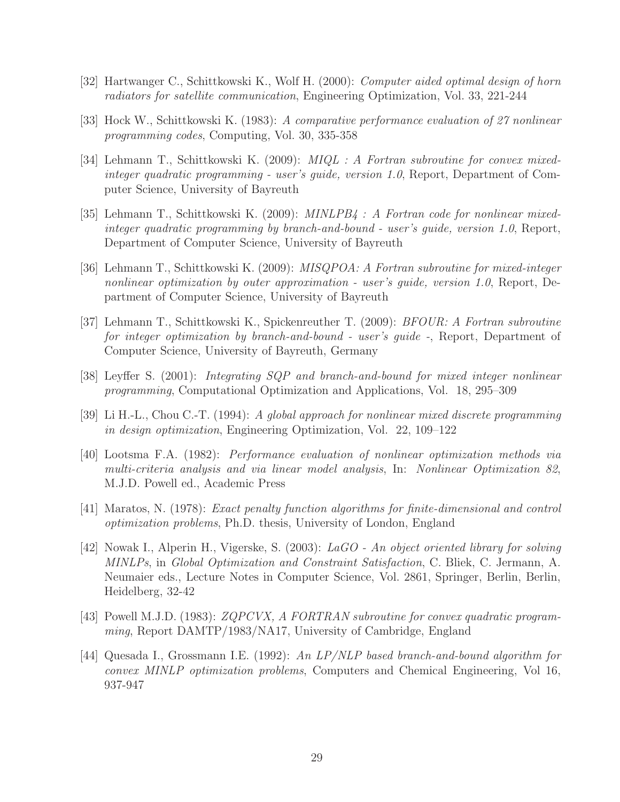- <span id="page-28-8"></span><span id="page-28-0"></span>[32] Hartwanger C., Schittkowski K., Wolf H. (2000): Computer aided optimal design of horn radiators for satellite communication, Engineering Optimization, Vol. 33, 221-244
- <span id="page-28-10"></span>[33] Hock W., Schittkowski K. (1983): A comparative performance evaluation of 27 nonlinear programming codes, Computing, Vol. 30, 335-358
- [34] Lehmann T., Schittkowski K. (2009): *MIQL : A Fortran subroutine for convex mixed*integer quadratic programming - user's guide, version 1.0, Report, Department of Computer Science, University of Bayreuth
- <span id="page-28-5"></span>[35] Lehmann T., Schittkowski K. (2009): MINLPB4 : A Fortran code for nonlinear mixedinteger quadratic programming by branch-and-bound - user's guide, version 1.0, Report, Department of Computer Science, University of Bayreuth
- <span id="page-28-4"></span>[36] Lehmann T., Schittkowski K. (2009): MISQPOA: A Fortran subroutine for mixed-integer nonlinear optimization by outer approximation - user's guide, version 1.0, Report, Department of Computer Science, University of Bayreuth
- <span id="page-28-11"></span>[37] Lehmann T., Schittkowski K., Spickenreuther T. (2009): BFOUR: A Fortran subroutine for integer optimization by branch-and-bound - user's guide -, Report, Department of Computer Science, University of Bayreuth, Germany
- <span id="page-28-2"></span><span id="page-28-1"></span>[38] Leyffer S. (2001): Integrating SQP and branch-and-bound for mixed integer nonlinear programming, Computational Optimization and Applications, Vol. 18, 295–309
- <span id="page-28-12"></span>[39] Li H.-L., Chou C.-T. (1994): A global approach for nonlinear mixed discrete programming in design optimization, Engineering Optimization, Vol. 22, 109–122
- [40] Lootsma F.A. (1982): Performance evaluation of nonlinear optimization methods via multi-criteria analysis and via linear model analysis, In: Nonlinear Optimization 82, M.J.D. Powell ed., Academic Press
- <span id="page-28-6"></span><span id="page-28-3"></span>[41] Maratos, N. (1978): Exact penalty function algorithms for finite-dimensional and control optimization problems, Ph.D. thesis, University of London, England
- [42] Nowak I., Alperin H., Vigerske, S. (2003): LaGO An object oriented library for solving MINLPs, in Global Optimization and Constraint Satisfaction, C. Bliek, C. Jermann, A. Neumaier eds., Lecture Notes in Computer Science, Vol. 2861, Springer, Berlin, Berlin, Heidelberg, 32-42
- <span id="page-28-9"></span>[43] Powell M.J.D. (1983): ZQPCVX, A FORTRAN subroutine for convex quadratic programming, Report DAMTP/1983/NA17, University of Cambridge, England
- <span id="page-28-7"></span>[44] Quesada I., Grossmann I.E. (1992): An LP/NLP based branch-and-bound algorithm for convex MINLP optimization problems, Computers and Chemical Engineering, Vol 16, 937-947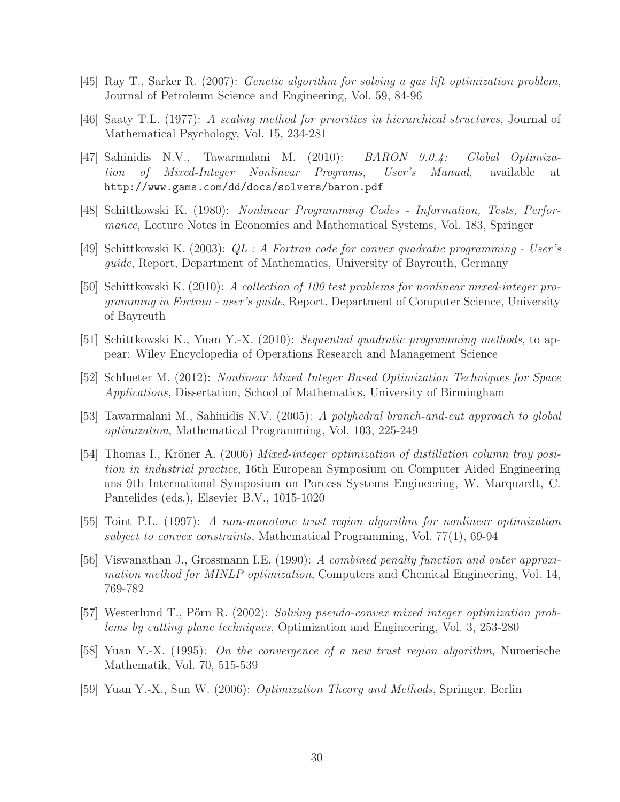- <span id="page-29-14"></span><span id="page-29-11"></span>[45] Ray T., Sarker R. (2007): Genetic algorithm for solving a gas lift optimization problem, Journal of Petroleum Science and Engineering, Vol. 59, 84-96
- <span id="page-29-3"></span>[46] Saaty T.L. (1977): A scaling method for priorities in hierarchical structures, Journal of Mathematical Psychology, Vol. 15, 234-281
- [47] Sahinidis N.V., Tawarmalani M. (2010): BARON 9.0.4: Global Optimization of Mixed-Integer Nonlinear Programs, User's Manual, available at http://www.gams.com/dd/docs/solvers/baron.pdf
- <span id="page-29-13"></span><span id="page-29-12"></span>[48] Schittkowski K. (1980): Nonlinear Programming Codes - Information, Tests, Performance, Lecture Notes in Economics and Mathematical Systems, Vol. 183, Springer
- <span id="page-29-8"></span>[49] Schittkowski K. (2003): QL : A Fortran code for convex quadratic programming - User's guide, Report, Department of Mathematics, University of Bayreuth, Germany
- [50] Schittkowski K. (2010): A collection of 100 test problems for nonlinear mixed-integer programming in Fortran - user's guide, Report, Department of Computer Science, University of Bayreuth
- <span id="page-29-7"></span><span id="page-29-1"></span>[51] Schittkowski K., Yuan Y.-X. (2010): Sequential quadratic programming methods, to appear: Wiley Encyclopedia of Operations Research and Management Science
- <span id="page-29-4"></span>[52] Schlueter M. (2012): Nonlinear Mixed Integer Based Optimization Techniques for Space Applications, Dissertation, School of Mathematics, University of Birmingham
- <span id="page-29-0"></span>[53] Tawarmalani M., Sahinidis N.V. (2005): A polyhedral branch-and-cut approach to global optimization, Mathematical Programming, Vol. 103, 225-249
- [54] Thomas I., Kröner A. (2006) Mixed-integer optimization of distillation column tray position in industrial practice, 16th European Symposium on Computer Aided Engineering ans 9th International Symposium on Porcess Systems Engineering, W. Marquardt, C. Pantelides (eds.), Elsevier B.V., 1015-1020
- <span id="page-29-10"></span>[55] Toint P.L. (1997): A non-monotone trust region algorithm for nonlinear optimization subject to convex constraints, Mathematical Programming, Vol.  $77(1)$ , 69-94
- <span id="page-29-5"></span>[56] Viswanathan J., Grossmann I.E. (1990): A combined penalty function and outer approximation method for MINLP optimization, Computers and Chemical Engineering, Vol. 14, 769-782
- <span id="page-29-2"></span>[57] Westerlund T., Pörn R. (2002): Solving pseudo-convex mixed integer optimization problems by cutting plane techniques, Optimization and Engineering, Vol. 3, 253-280
- <span id="page-29-6"></span>[58] Yuan Y.-X. (1995): On the convergence of a new trust region algorithm, Numerische Mathematik, Vol. 70, 515-539
- <span id="page-29-9"></span>[59] Yuan Y.-X., Sun W. (2006): Optimization Theory and Methods, Springer, Berlin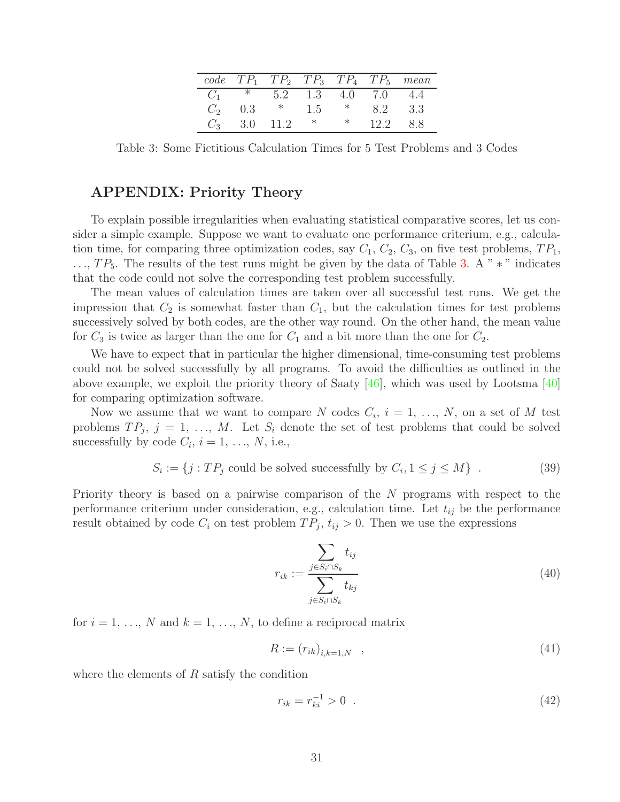|       |         |      |     |     |                     | $code \hspace{0.2cm} T P_1 \hspace{0.2cm} T P_2 \hspace{0.2cm} T P_3 \hspace{0.2cm} T P_4 \hspace{0.2cm} T P_5 \hspace{0.2cm} mean$ |
|-------|---------|------|-----|-----|---------------------|-------------------------------------------------------------------------------------------------------------------------------------|
|       | $C_1$ * |      |     |     | 5.2 1.3 4.0 7.0 4.4 |                                                                                                                                     |
| $C_2$ | 0.3     | $*$  | 1.5 | $*$ | 82                  | -33                                                                                                                                 |
|       | 3.0     | 11.2 |     |     | 12.2                | -88                                                                                                                                 |

<span id="page-30-0"></span>Table 3: Some Fictitious Calculation Times for 5 Test Problems and 3 Codes

#### **APPENDIX: Priority Theory**

To explain possible irregularities when evaluating statistical comparative scores, let us consider a simple example. Suppose we want to evaluate one performance criterium, e.g., calculation time, for comparing three optimization codes, say  $C_1$ ,  $C_2$ ,  $C_3$ , on five test problems,  $TP_1$ , ...,  $TP_5$ . The results of the test runs might be given by the data of Table [3.](#page-30-0) A "  $*$  " indicates that the code could not solve the corresponding test problem successfully.

The mean values of calculation times are taken over all successful test runs. We get the impression that  $C_2$  is somewhat faster than  $C_1$ , but the calculation times for test problems successively solved by both codes, are the other way round. On the other hand, the mean value for  $C_3$  is twice as larger than the one for  $C_1$  and a bit more than the one for  $C_2$ .

We have to expect that in particular the higher dimensional, time-consuming test problems could not be solved successfully by all programs. To avoid the difficulties as outlined in the above example, we exploit the priority theory of Saaty [\[46\]](#page-29-11), which was used by Lootsma [\[40\]](#page-28-12) for comparing optimization software.

Now we assume that we want to compare N codes  $C_i$ ,  $i = 1, ..., N$ , on a set of M test problems  $TP_j$ ,  $j = 1, ..., M$ . Let  $S_i$  denote the set of test problems that could be solved successfully by code  $C_i$ ,  $i = 1, ..., N$ , i.e.,

$$
S_i := \{ j : TP_j \text{ could be solved successfully by } C_i, 1 \le j \le M \} \tag{39}
$$

Priority theory is based on a pairwise comparison of the N programs with respect to the performance criterium under consideration, e.g., calculation time. Let  $t_{ij}$  be the performance result obtained by code  $C_i$  on test problem  $TP_j$ ,  $t_{ij} > 0$ . Then we use the expressions

<span id="page-30-1"></span>
$$
r_{ik} := \frac{\sum_{j \in S_i \cap S_k} t_{ij}}{\sum_{j \in S_i \cap S_k} t_{kj}}
$$
(40)

for  $i = 1, \ldots, N$  and  $k = 1, \ldots, N$ , to define a reciprocal matrix

<span id="page-30-2"></span>
$$
R := (r_{ik})_{i,k=1,N} \quad , \tag{41}
$$

where the elements of  $R$  satisfy the condition

$$
r_{ik} = r_{ki}^{-1} > 0 \tag{42}
$$